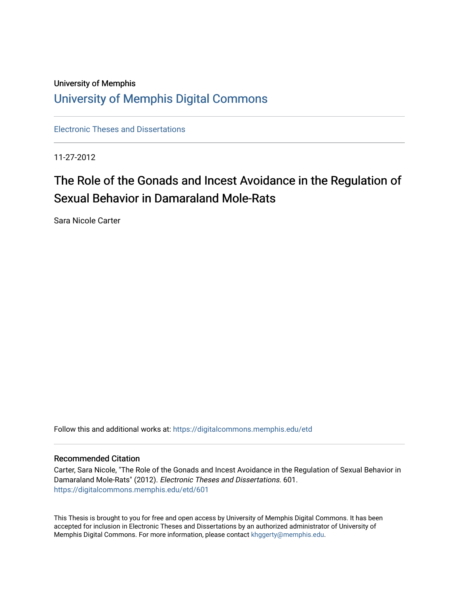## University of Memphis [University of Memphis Digital Commons](https://digitalcommons.memphis.edu/)

[Electronic Theses and Dissertations](https://digitalcommons.memphis.edu/etd)

11-27-2012

# The Role of the Gonads and Incest Avoidance in the Regulation of Sexual Behavior in Damaraland Mole-Rats

Sara Nicole Carter

Follow this and additional works at: [https://digitalcommons.memphis.edu/etd](https://digitalcommons.memphis.edu/etd?utm_source=digitalcommons.memphis.edu%2Fetd%2F601&utm_medium=PDF&utm_campaign=PDFCoverPages) 

#### Recommended Citation

Carter, Sara Nicole, "The Role of the Gonads and Incest Avoidance in the Regulation of Sexual Behavior in Damaraland Mole-Rats" (2012). Electronic Theses and Dissertations. 601. [https://digitalcommons.memphis.edu/etd/601](https://digitalcommons.memphis.edu/etd/601?utm_source=digitalcommons.memphis.edu%2Fetd%2F601&utm_medium=PDF&utm_campaign=PDFCoverPages) 

This Thesis is brought to you for free and open access by University of Memphis Digital Commons. It has been accepted for inclusion in Electronic Theses and Dissertations by an authorized administrator of University of Memphis Digital Commons. For more information, please contact [khggerty@memphis.edu.](mailto:khggerty@memphis.edu)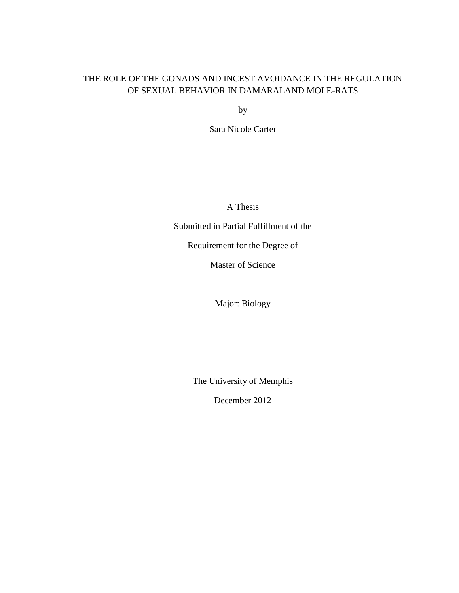### THE ROLE OF THE GONADS AND INCEST AVOIDANCE IN THE REGULATION OF SEXUAL BEHAVIOR IN DAMARALAND MOLE-RATS

by

Sara Nicole Carter

A Thesis

Submitted in Partial Fulfillment of the

Requirement for the Degree of

Master of Science

Major: Biology

The University of Memphis

December 2012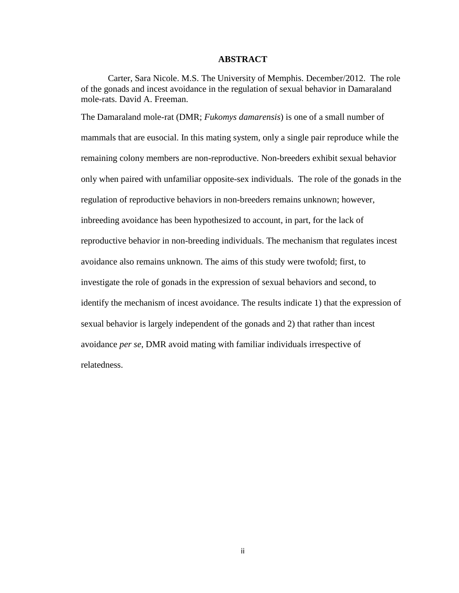#### **ABSTRACT**

Carter, Sara Nicole. M.S. The University of Memphis. December/2012. The role of the gonads and incest avoidance in the regulation of sexual behavior in Damaraland mole-rats. David A. Freeman.

The Damaraland mole-rat (DMR; *Fukomys damarensis*) is one of a small number of mammals that are eusocial. In this mating system, only a single pair reproduce while the remaining colony members are non-reproductive. Non-breeders exhibit sexual behavior only when paired with unfamiliar opposite-sex individuals. The role of the gonads in the regulation of reproductive behaviors in non-breeders remains unknown; however, inbreeding avoidance has been hypothesized to account, in part, for the lack of reproductive behavior in non-breeding individuals. The mechanism that regulates incest avoidance also remains unknown. The aims of this study were twofold; first, to investigate the role of gonads in the expression of sexual behaviors and second, to identify the mechanism of incest avoidance. The results indicate 1) that the expression of sexual behavior is largely independent of the gonads and 2) that rather than incest avoidance *per se*, DMR avoid mating with familiar individuals irrespective of relatedness.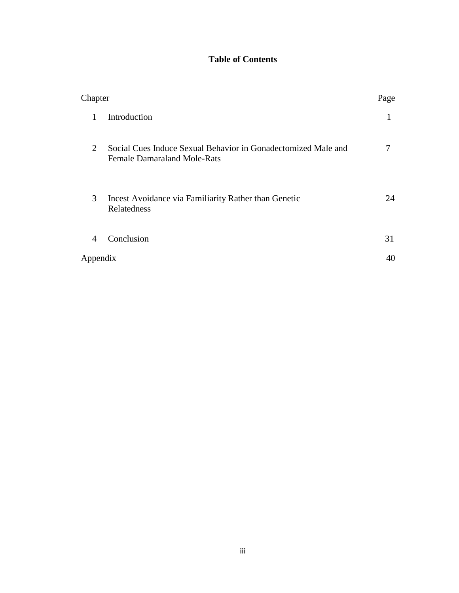## **Table of Contents**

| Chapter        |                                                                                                     | Page |
|----------------|-----------------------------------------------------------------------------------------------------|------|
| 1              | Introduction                                                                                        | T    |
| 2              | Social Cues Induce Sexual Behavior in Gonadectomized Male and<br><b>Female Damaraland Mole-Rats</b> |      |
| 3              | Incest Avoidance via Familiarity Rather than Genetic<br>Relatedness                                 | 24   |
| $\overline{4}$ | Conclusion                                                                                          | 31   |
| Appendix       |                                                                                                     | 40   |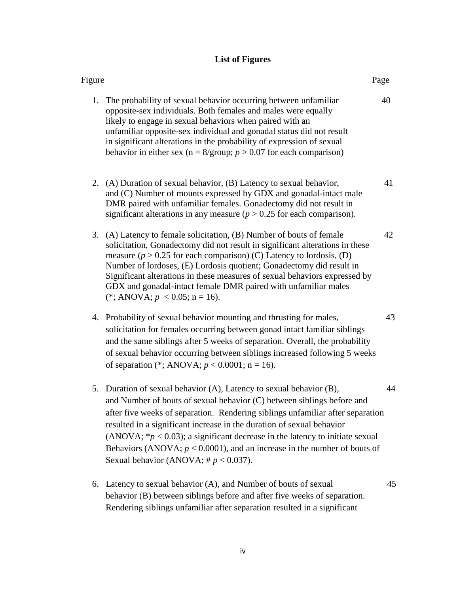## **List of Figures**

| Figure                                                                                                                                                                                                                                                                                                                                                                                                                                                                                                                  | Page |    |
|-------------------------------------------------------------------------------------------------------------------------------------------------------------------------------------------------------------------------------------------------------------------------------------------------------------------------------------------------------------------------------------------------------------------------------------------------------------------------------------------------------------------------|------|----|
| 1. The probability of sexual behavior occurring between unfamiliar<br>opposite-sex individuals. Both females and males were equally<br>likely to engage in sexual behaviors when paired with an<br>unfamiliar opposite-sex individual and gonadal status did not result<br>in significant alterations in the probability of expression of sexual<br>behavior in either sex ( $n = 8$ /group; $p > 0.07$ for each comparison)                                                                                            | 40   |    |
| 2. (A) Duration of sexual behavior, (B) Latency to sexual behavior,<br>and (C) Number of mounts expressed by GDX and gonadal-intact male<br>DMR paired with unfamiliar females. Gonadectomy did not result in<br>significant alterations in any measure ( $p > 0.25$ for each comparison).                                                                                                                                                                                                                              |      | 41 |
| (A) Latency to female solicitation, (B) Number of bouts of female<br>3.<br>solicitation, Gonadectomy did not result in significant alterations in these<br>measure ( $p > 0.25$ for each comparison) (C) Latency to lordosis, (D)<br>Number of lordoses, (E) Lordosis quotient; Gonadectomy did result in<br>Significant alterations in these measures of sexual behaviors expressed by<br>GDX and gonadal-intact female DMR paired with unfamiliar males<br>(*; ANOVA; $p < 0.05$ ; n = 16).                           |      | 42 |
| 4. Probability of sexual behavior mounting and thrusting for males,<br>solicitation for females occurring between gonad intact familiar siblings<br>and the same siblings after 5 weeks of separation. Overall, the probability<br>of sexual behavior occurring between siblings increased following 5 weeks<br>of separation (*; ANOVA; $p < 0.0001$ ; n = 16).                                                                                                                                                        |      | 43 |
| 5. Duration of sexual behavior (A), Latency to sexual behavior (B),<br>and Number of bouts of sexual behavior (C) between siblings before and<br>after five weeks of separation. Rendering siblings unfamiliar after separation<br>resulted in a significant increase in the duration of sexual behavior<br>(ANOVA; $* p < 0.03$ ); a significant decrease in the latency to initiate sexual<br>Behaviors (ANOVA; $p < 0.0001$ ), and an increase in the number of bouts of<br>Sexual behavior (ANOVA; # $p < 0.037$ ). |      | 44 |
| Latency to sexual behavior (A), and Number of bouts of sexual<br>6.<br>behavior (B) between siblings before and after five weeks of separation.<br>Rendering siblings unfamiliar after separation resulted in a significant                                                                                                                                                                                                                                                                                             |      | 45 |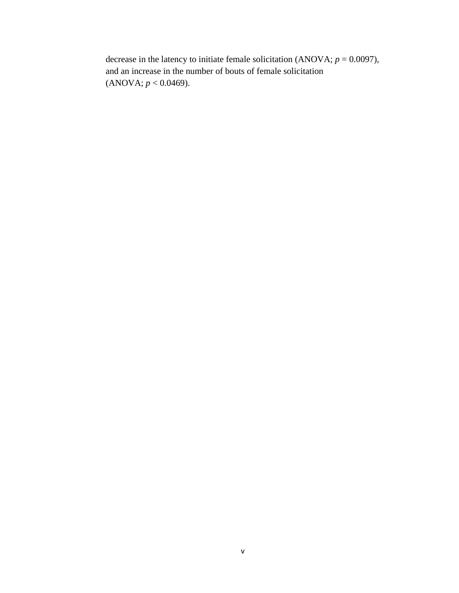decrease in the latency to initiate female solicitation (ANOVA;  $p = 0.0097$ ), and an increase in the number of bouts of female solicitation  $(ANOVA; p < 0.0469).$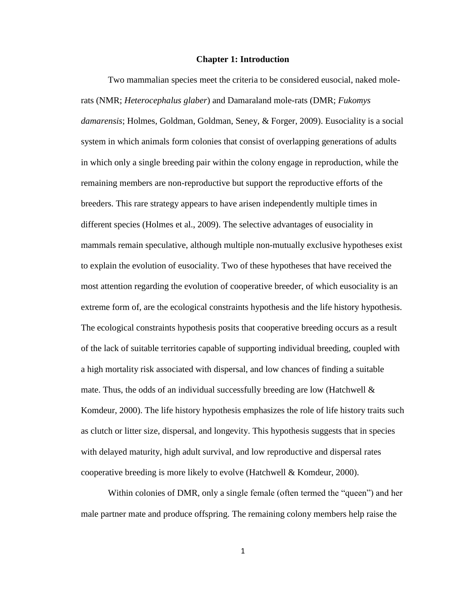#### **Chapter 1: Introduction**

Two mammalian species meet the criteria to be considered eusocial, naked molerats (NMR; *Heterocephalus glaber*) and Damaraland mole-rats (DMR; *Fukomys damarensis*; Holmes, Goldman, Goldman, Seney, & Forger, 2009). Eusociality is a social system in which animals form colonies that consist of overlapping generations of adults in which only a single breeding pair within the colony engage in reproduction, while the remaining members are non-reproductive but support the reproductive efforts of the breeders. This rare strategy appears to have arisen independently multiple times in different species (Holmes et al., 2009). The selective advantages of eusociality in mammals remain speculative, although multiple non-mutually exclusive hypotheses exist to explain the evolution of eusociality. Two of these hypotheses that have received the most attention regarding the evolution of cooperative breeder, of which eusociality is an extreme form of, are the ecological constraints hypothesis and the life history hypothesis. The ecological constraints hypothesis posits that cooperative breeding occurs as a result of the lack of suitable territories capable of supporting individual breeding, coupled with a high mortality risk associated with dispersal, and low chances of finding a suitable mate. Thus, the odds of an individual successfully breeding are low (Hatchwell  $\&$ Komdeur, 2000). The life history hypothesis emphasizes the role of life history traits such as clutch or litter size, dispersal, and longevity. This hypothesis suggests that in species with delayed maturity, high adult survival, and low reproductive and dispersal rates cooperative breeding is more likely to evolve (Hatchwell & Komdeur, 2000).

Within colonies of DMR, only a single female (often termed the "queen") and her male partner mate and produce offspring. The remaining colony members help raise the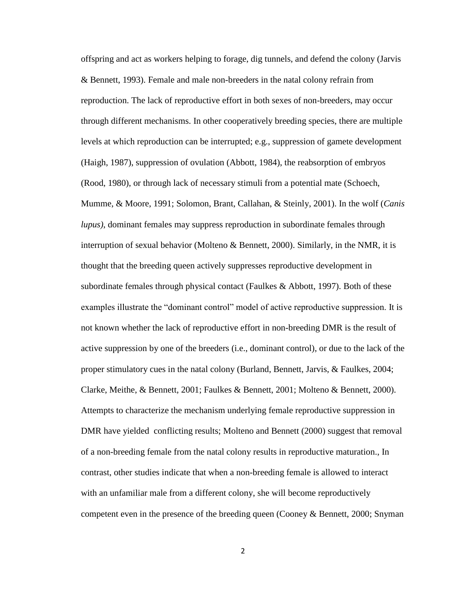offspring and act as workers helping to forage, dig tunnels, and defend the colony (Jarvis & Bennett, 1993). Female and male non-breeders in the natal colony refrain from reproduction. The lack of reproductive effort in both sexes of non-breeders, may occur through different mechanisms. In other cooperatively breeding species, there are multiple levels at which reproduction can be interrupted; e.g., suppression of gamete development (Haigh, 1987), suppression of ovulation (Abbott, 1984), the reabsorption of embryos (Rood, 1980), or through lack of necessary stimuli from a potential mate (Schoech, Mumme, & Moore, 1991; Solomon, Brant, Callahan, & Steinly, 2001). In the wolf (*Canis lupus)*, dominant females may suppress reproduction in subordinate females through interruption of sexual behavior (Molteno  $\&$  Bennett, 2000). Similarly, in the NMR, it is thought that the breeding queen actively suppresses reproductive development in subordinate females through physical contact (Faulkes & Abbott, 1997). Both of these examples illustrate the "dominant control" model of active reproductive suppression. It is not known whether the lack of reproductive effort in non-breeding DMR is the result of active suppression by one of the breeders (i.e., dominant control), or due to the lack of the proper stimulatory cues in the natal colony (Burland, Bennett, Jarvis, & Faulkes, 2004; Clarke, Meithe, & Bennett, 2001; Faulkes & Bennett, 2001; Molteno & Bennett, 2000). Attempts to characterize the mechanism underlying female reproductive suppression in DMR have yielded conflicting results; Molteno and Bennett (2000) suggest that removal of a non-breeding female from the natal colony results in reproductive maturation., In contrast, other studies indicate that when a non-breeding female is allowed to interact with an unfamiliar male from a different colony, she will become reproductively competent even in the presence of the breeding queen (Cooney & Bennett, 2000; Snyman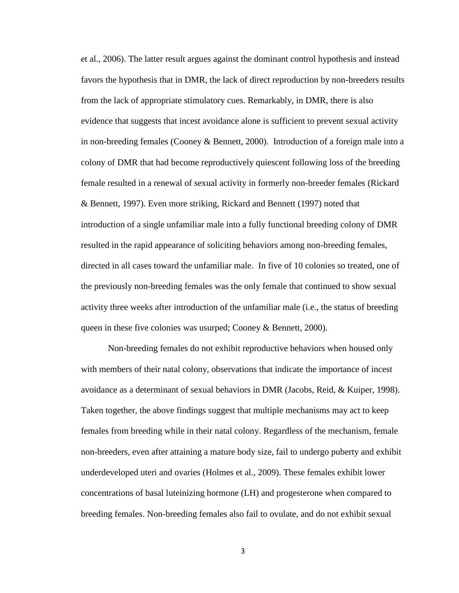et al., 2006). The latter result argues against the dominant control hypothesis and instead favors the hypothesis that in DMR, the lack of direct reproduction by non-breeders results from the lack of appropriate stimulatory cues. Remarkably, in DMR, there is also evidence that suggests that incest avoidance alone is sufficient to prevent sexual activity in non-breeding females (Cooney & Bennett, 2000). Introduction of a foreign male into a colony of DMR that had become reproductively quiescent following loss of the breeding female resulted in a renewal of sexual activity in formerly non-breeder females (Rickard & Bennett, 1997). Even more striking, Rickard and Bennett (1997) noted that introduction of a single unfamiliar male into a fully functional breeding colony of DMR resulted in the rapid appearance of soliciting behaviors among non-breeding females, directed in all cases toward the unfamiliar male. In five of 10 colonies so treated, one of the previously non-breeding females was the only female that continued to show sexual activity three weeks after introduction of the unfamiliar male (i.e., the status of breeding queen in these five colonies was usurped; Cooney & Bennett, 2000).

Non-breeding females do not exhibit reproductive behaviors when housed only with members of their natal colony, observations that indicate the importance of incest avoidance as a determinant of sexual behaviors in DMR (Jacobs, Reid, & Kuiper, 1998). Taken together, the above findings suggest that multiple mechanisms may act to keep females from breeding while in their natal colony. Regardless of the mechanism, female non-breeders, even after attaining a mature body size, fail to undergo puberty and exhibit underdeveloped uteri and ovaries (Holmes et al., 2009). These females exhibit lower concentrations of basal luteinizing hormone (LH) and progesterone when compared to breeding females. Non-breeding females also fail to ovulate, and do not exhibit sexual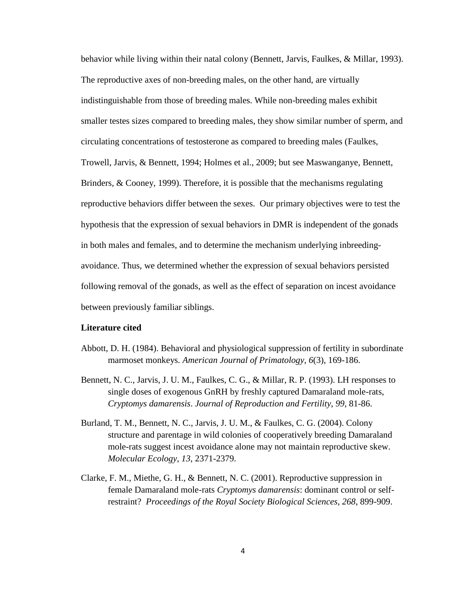behavior while living within their natal colony (Bennett, Jarvis, Faulkes, & Millar, 1993). The reproductive axes of non-breeding males, on the other hand, are virtually indistinguishable from those of breeding males. While non-breeding males exhibit smaller testes sizes compared to breeding males, they show similar number of sperm, and circulating concentrations of testosterone as compared to breeding males (Faulkes, Trowell, Jarvis, & Bennett, 1994; Holmes et al., 2009; but see Maswanganye, Bennett, Brinders, & Cooney, 1999). Therefore, it is possible that the mechanisms regulating reproductive behaviors differ between the sexes. Our primary objectives were to test the hypothesis that the expression of sexual behaviors in DMR is independent of the gonads in both males and females, and to determine the mechanism underlying inbreedingavoidance. Thus, we determined whether the expression of sexual behaviors persisted following removal of the gonads, as well as the effect of separation on incest avoidance between previously familiar siblings.

#### **Literature cited**

- Abbott, D. H. (1984). Behavioral and physiological suppression of fertility in subordinate marmoset monkeys. *American Journal of Primatology*, *6*(3), 169-186.
- Bennett, N. C., Jarvis, J. U. M., Faulkes, C. G., & Millar, R. P. (1993). LH responses to single doses of exogenous GnRH by freshly captured Damaraland mole-rats, *Cryptomys damarensis*. *Journal of Reproduction and Fertility*, *99*, 81-86.
- Burland, T. M., Bennett, N. C., Jarvis, J. U. M., & Faulkes, C. G. (2004). Colony structure and parentage in wild colonies of cooperatively breeding Damaraland mole-rats suggest incest avoidance alone may not maintain reproductive skew. *Molecular Ecology*, *13*, 2371-2379.
- Clarke, F. M., Miethe, G. H., & Bennett, N. C. (2001). Reproductive suppression in female Damaraland mole-rats *Cryptomys damarensis*: dominant control or selfrestraint? *Proceedings of the Royal Society Biological Sciences*, *268*, 899-909.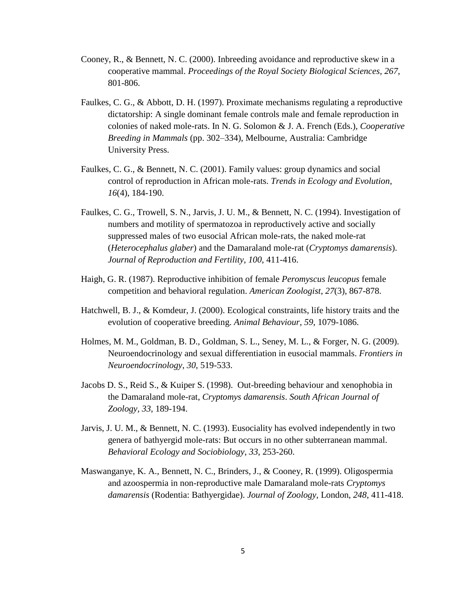- Cooney, R., & Bennett, N. C. (2000). Inbreeding avoidance and reproductive skew in a cooperative mammal. *Proceedings of the Royal Society Biological Sciences*, *267*, 801-806.
- Faulkes, C. G., & Abbott, D. H. (1997). Proximate mechanisms regulating a reproductive dictatorship: A single dominant female controls male and female reproduction in colonies of naked mole-rats. In N. G. Solomon & J. A. French (Eds.), *Cooperative Breeding in Mammals* (pp. 302–334), Melbourne, Australia: Cambridge University Press.
- Faulkes, C. G., & Bennett, N. C. (2001). Family values: group dynamics and social control of reproduction in African mole-rats. *Trends in Ecology and Evolution*, *16*(4), 184-190.
- Faulkes, C. G., Trowell, S. N., Jarvis, J. U. M., & Bennett, N. C. (1994). Investigation of numbers and motility of spermatozoa in reproductively active and socially suppressed males of two eusocial African mole-rats, the naked mole-rat (*Heterocephalus glaber*) and the Damaraland mole-rat (*Cryptomys damarensis*). *Journal of Reproduction and Fertility*, *100*, 411-416.
- Haigh, G. R. (1987). Reproductive inhibition of female *Peromyscus leucopus* female competition and behavioral regulation. *American Zoologist*, *27*(3), 867-878.
- Hatchwell, B. J., & Komdeur, J. (2000). Ecological constraints, life history traits and the evolution of cooperative breeding. *Animal Behaviour*, *59*, 1079-1086.
- Holmes, M. M., Goldman, B. D., Goldman, S. L., Seney, M. L., & Forger, N. G. (2009). Neuroendocrinology and sexual differentiation in eusocial mammals. *Frontiers in Neuroendocrinology*, *30*, 519-533.
- Jacobs D. S., Reid S., & Kuiper S. (1998). Out-breeding behaviour and xenophobia in the Damaraland mole-rat, *Cryptomys damarensis*. *South African Journal of Zoology*, *33*, 189-194.
- Jarvis, J. U. M., & Bennett, N. C. (1993). Eusociality has evolved independently in two genera of bathyergid mole-rats: But occurs in no other subterranean mammal. *Behavioral Ecology and Sociobiology*, *33*, 253-260.
- Maswanganye, K. A., Bennett, N. C., Brinders, J., & Cooney, R. (1999). Oligospermia and azoospermia in non-reproductive male Damaraland mole-rats *Cryptomys damarensis* (Rodentia: Bathyergidae). *Journal of Zoology*, London, *248*, 411-418.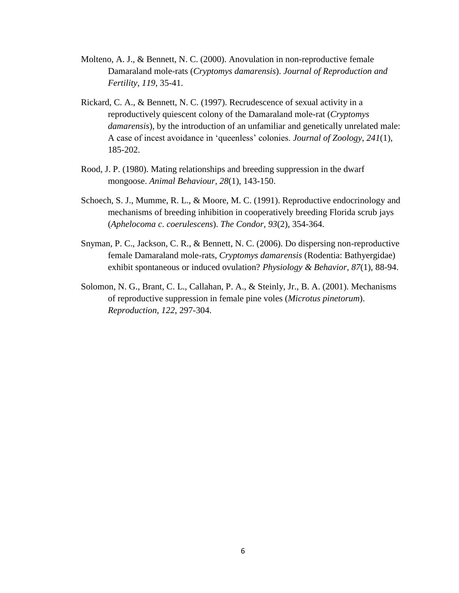- Molteno, A. J., & Bennett, N. C. (2000). Anovulation in non-reproductive female Damaraland mole-rats (*Cryptomys damarensis*). *Journal of Reproduction and Fertility*, *119*, 35-41.
- Rickard, C. A., & Bennett, N. C. (1997). Recrudescence of sexual activity in a reproductively quiescent colony of the Damaraland mole-rat (*Cryptomys damarensis*), by the introduction of an unfamiliar and genetically unrelated male: A case of incest avoidance in 'queenless' colonies. *Journal of Zoology*, *241*(1), 185-202.
- Rood, J. P. (1980). Mating relationships and breeding suppression in the dwarf mongoose. *Animal Behaviour*, *28*(1), 143-150.
- Schoech, S. J., Mumme, R. L., & Moore, M. C. (1991). Reproductive endocrinology and mechanisms of breeding inhibition in cooperatively breeding Florida scrub jays (*Aphelocoma c*. *coerulescens*). *The Condor*, *93*(2), 354-364.
- Snyman, P. C., Jackson, C. R., & Bennett, N. C. (2006). Do dispersing non-reproductive female Damaraland mole-rats, *Cryptomys damarensis* (Rodentia: Bathyergidae) exhibit spontaneous or induced ovulation? *Physiology & Behavior*, *87*(1), 88-94.
- Solomon, N. G., Brant, C. L., Callahan, P. A., & Steinly, Jr., B. A. (2001). Mechanisms of reproductive suppression in female pine voles (*Microtus pinetorum*). *Reproduction*, *122*, 297-304.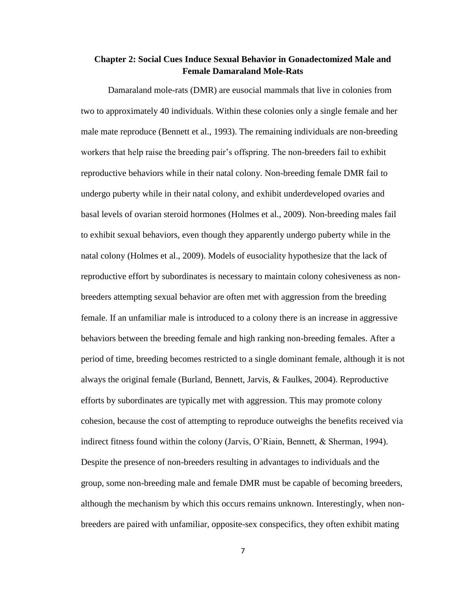### **Chapter 2: Social Cues Induce Sexual Behavior in Gonadectomized Male and Female Damaraland Mole-Rats**

Damaraland mole-rats (DMR) are eusocial mammals that live in colonies from two to approximately 40 individuals. Within these colonies only a single female and her male mate reproduce (Bennett et al., 1993). The remaining individuals are non-breeding workers that help raise the breeding pair's offspring. The non-breeders fail to exhibit reproductive behaviors while in their natal colony. Non-breeding female DMR fail to undergo puberty while in their natal colony, and exhibit underdeveloped ovaries and basal levels of ovarian steroid hormones (Holmes et al., 2009). Non-breeding males fail to exhibit sexual behaviors, even though they apparently undergo puberty while in the natal colony (Holmes et al., 2009). Models of eusociality hypothesize that the lack of reproductive effort by subordinates is necessary to maintain colony cohesiveness as nonbreeders attempting sexual behavior are often met with aggression from the breeding female. If an unfamiliar male is introduced to a colony there is an increase in aggressive behaviors between the breeding female and high ranking non-breeding females. After a period of time, breeding becomes restricted to a single dominant female, although it is not always the original female (Burland, Bennett, Jarvis, & Faulkes, 2004). Reproductive efforts by subordinates are typically met with aggression. This may promote colony cohesion, because the cost of attempting to reproduce outweighs the benefits received via indirect fitness found within the colony (Jarvis, O'Riain, Bennett, & Sherman, 1994). Despite the presence of non-breeders resulting in advantages to individuals and the group, some non-breeding male and female DMR must be capable of becoming breeders, although the mechanism by which this occurs remains unknown. Interestingly, when nonbreeders are paired with unfamiliar, opposite-sex conspecifics, they often exhibit mating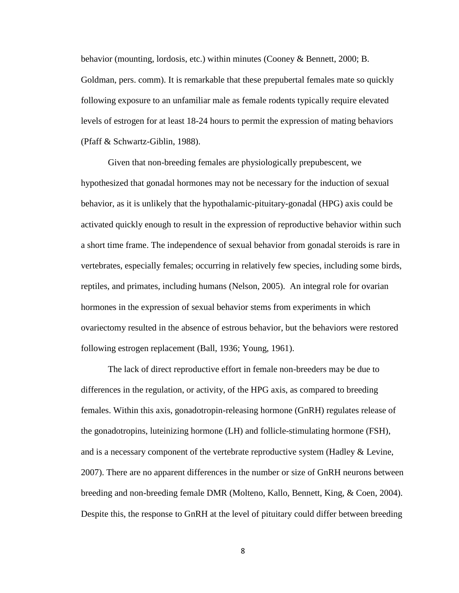behavior (mounting, lordosis, etc.) within minutes (Cooney & Bennett, 2000; B. Goldman, pers. comm). It is remarkable that these prepubertal females mate so quickly following exposure to an unfamiliar male as female rodents typically require elevated levels of estrogen for at least 18-24 hours to permit the expression of mating behaviors (Pfaff & Schwartz-Giblin, 1988).

Given that non-breeding females are physiologically prepubescent, we hypothesized that gonadal hormones may not be necessary for the induction of sexual behavior, as it is unlikely that the hypothalamic-pituitary-gonadal (HPG) axis could be activated quickly enough to result in the expression of reproductive behavior within such a short time frame. The independence of sexual behavior from gonadal steroids is rare in vertebrates, especially females; occurring in relatively few species, including some birds, reptiles, and primates, including humans (Nelson, 2005). An integral role for ovarian hormones in the expression of sexual behavior stems from experiments in which ovariectomy resulted in the absence of estrous behavior, but the behaviors were restored following estrogen replacement (Ball, 1936; Young, 1961).

The lack of direct reproductive effort in female non-breeders may be due to differences in the regulation, or activity, of the HPG axis, as compared to breeding females. Within this axis, gonadotropin-releasing hormone (GnRH) regulates release of the gonadotropins, luteinizing hormone (LH) and follicle-stimulating hormone (FSH), and is a necessary component of the vertebrate reproductive system (Hadley & Levine, 2007). There are no apparent differences in the number or size of GnRH neurons between breeding and non-breeding female DMR (Molteno, Kallo, Bennett, King, & Coen, 2004). Despite this, the response to GnRH at the level of pituitary could differ between breeding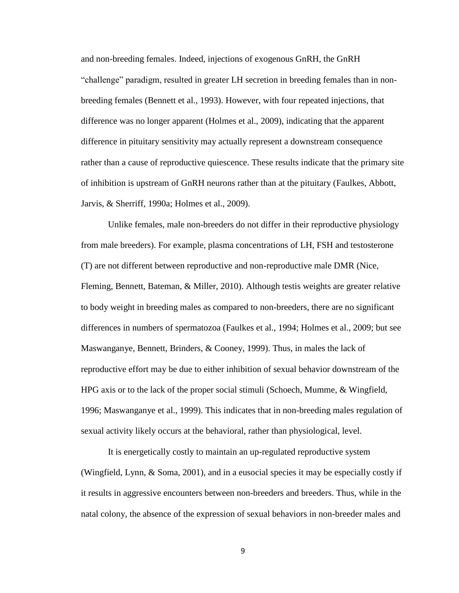and non-breeding females. Indeed, injections of exogenous GnRH, the GnRH "challenge" paradigm, resulted in greater LH secretion in breeding females than in nonbreeding females (Bennett et al., 1993). However, with four repeated injections, that difference was no longer apparent (Holmes et al., 2009), indicating that the apparent difference in pituitary sensitivity may actually represent a downstream consequence rather than a cause of reproductive quiescence. These results indicate that the primary site of inhibition is upstream of GnRH neurons rather than at the pituitary (Faulkes, Abbott, Jarvis, & Sherriff, 1990a; Holmes et al., 2009).

Unlike females, male non-breeders do not differ in their reproductive physiology from male breeders). For example, plasma concentrations of LH, FSH and testosterone (T) are not different between reproductive and non-reproductive male DMR (Nice, Fleming, Bennett, Bateman, & Miller, 2010). Although testis weights are greater relative to body weight in breeding males as compared to non-breeders, there are no significant differences in numbers of spermatozoa (Faulkes et al., 1994; Holmes et al., 2009; but see Maswanganye, Bennett, Brinders, & Cooney, 1999). Thus, in males the lack of reproductive effort may be due to either inhibition of sexual behavior downstream of the HPG axis or to the lack of the proper social stimuli (Schoech, Mumme, & Wingfield, 1996; Maswanganye et al., 1999). This indicates that in non-breeding males regulation of sexual activity likely occurs at the behavioral, rather than physiological, level.

It is energetically costly to maintain an up-regulated reproductive system (Wingfield, Lynn, & Soma, 2001), and in a eusocial species it may be especially costly if it results in aggressive encounters between non-breeders and breeders. Thus, while in the natal colony, the absence of the expression of sexual behaviors in non-breeder males and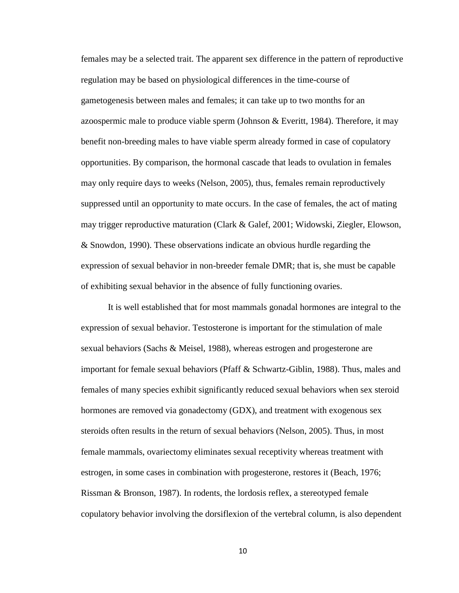females may be a selected trait. The apparent sex difference in the pattern of reproductive regulation may be based on physiological differences in the time-course of gametogenesis between males and females; it can take up to two months for an azoospermic male to produce viable sperm (Johnson & Everitt, 1984). Therefore, it may benefit non-breeding males to have viable sperm already formed in case of copulatory opportunities. By comparison, the hormonal cascade that leads to ovulation in females may only require days to weeks (Nelson, 2005), thus, females remain reproductively suppressed until an opportunity to mate occurs. In the case of females, the act of mating may trigger reproductive maturation (Clark & Galef, 2001; Widowski, Ziegler, Elowson, & Snowdon, 1990). These observations indicate an obvious hurdle regarding the expression of sexual behavior in non-breeder female DMR; that is, she must be capable of exhibiting sexual behavior in the absence of fully functioning ovaries.

It is well established that for most mammals gonadal hormones are integral to the expression of sexual behavior. Testosterone is important for the stimulation of male sexual behaviors (Sachs & Meisel, 1988), whereas estrogen and progesterone are important for female sexual behaviors (Pfaff & Schwartz-Giblin, 1988). Thus, males and females of many species exhibit significantly reduced sexual behaviors when sex steroid hormones are removed via gonadectomy (GDX), and treatment with exogenous sex steroids often results in the return of sexual behaviors (Nelson, 2005). Thus, in most female mammals, ovariectomy eliminates sexual receptivity whereas treatment with estrogen, in some cases in combination with progesterone, restores it (Beach, 1976; Rissman & Bronson, 1987). In rodents, the lordosis reflex, a stereotyped female copulatory behavior involving the dorsiflexion of the vertebral column, is also dependent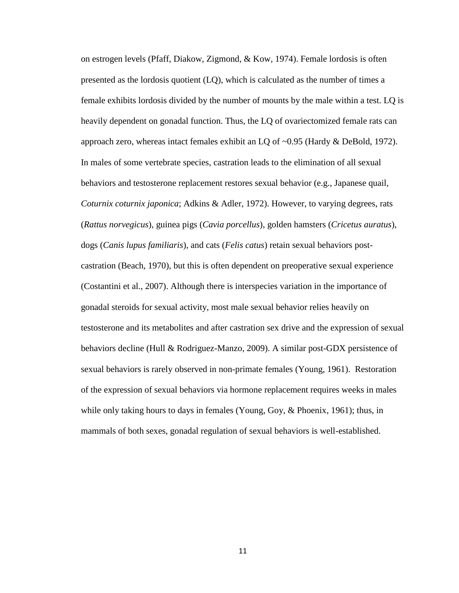on estrogen levels (Pfaff, Diakow, Zigmond, & Kow, 1974). Female lordosis is often presented as the lordosis quotient (LQ), which is calculated as the number of times a female exhibits lordosis divided by the number of mounts by the male within a test. LQ is heavily dependent on gonadal function. Thus, the LQ of ovariectomized female rats can approach zero, whereas intact females exhibit an LQ of ~0.95 (Hardy & DeBold, 1972). In males of some vertebrate species, castration leads to the elimination of all sexual behaviors and testosterone replacement restores sexual behavior (e.g., Japanese quail, *Coturnix coturnix japonica*; Adkins & Adler, 1972). However, to varying degrees, rats (*Rattus norvegicus*), guinea pigs (*Cavia porcellus*), golden hamsters (*Cricetus auratus*), dogs (*Canis lupus familiaris*), and cats (*Felis catus*) retain sexual behaviors postcastration (Beach, 1970), but this is often dependent on preoperative sexual experience (Costantini et al., 2007). Although there is interspecies variation in the importance of gonadal steroids for sexual activity, most male sexual behavior relies heavily on testosterone and its metabolites and after castration sex drive and the expression of sexual behaviors decline (Hull & Rodriguez-Manzo, 2009). A similar post-GDX persistence of sexual behaviors is rarely observed in non-primate females (Young, 1961). Restoration of the expression of sexual behaviors via hormone replacement requires weeks in males while only taking hours to days in females (Young, Goy, & Phoenix, 1961); thus, in mammals of both sexes, gonadal regulation of sexual behaviors is well-established.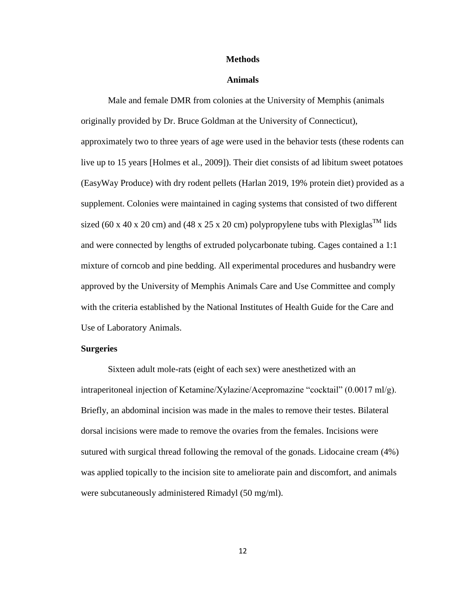#### **Methods**

#### **Animals**

Male and female DMR from colonies at the University of Memphis (animals originally provided by Dr. Bruce Goldman at the University of Connecticut), approximately two to three years of age were used in the behavior tests (these rodents can live up to 15 years [Holmes et al., 2009]). Their diet consists of ad libitum sweet potatoes (EasyWay Produce) with dry rodent pellets (Harlan 2019, 19% protein diet) provided as a supplement. Colonies were maintained in caging systems that consisted of two different sized (60 x 40 x 20 cm) and (48 x 25 x 20 cm) polypropylene tubs with Plexiglas<sup>TM</sup> lids and were connected by lengths of extruded polycarbonate tubing. Cages contained a 1:1 mixture of corncob and pine bedding. All experimental procedures and husbandry were approved by the University of Memphis Animals Care and Use Committee and comply with the criteria established by the National Institutes of Health Guide for the Care and Use of Laboratory Animals.

#### **Surgeries**

Sixteen adult mole-rats (eight of each sex) were anesthetized with an intraperitoneal injection of Ketamine/Xylazine/Acepromazine "cocktail" (0.0017 ml/g). Briefly, an abdominal incision was made in the males to remove their testes. Bilateral dorsal incisions were made to remove the ovaries from the females. Incisions were sutured with surgical thread following the removal of the gonads. Lidocaine cream (4%) was applied topically to the incision site to ameliorate pain and discomfort, and animals were subcutaneously administered Rimadyl (50 mg/ml).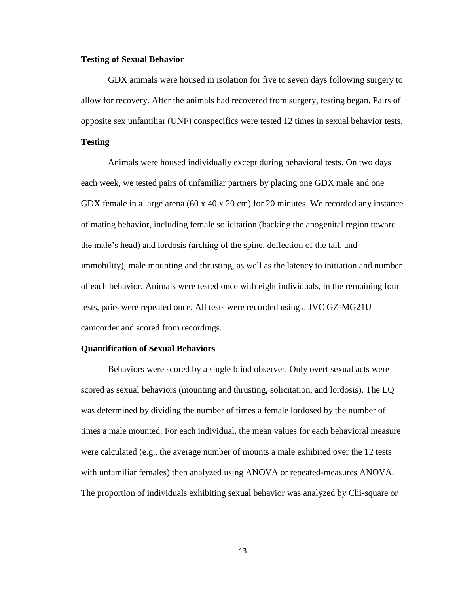#### **Testing of Sexual Behavior**

GDX animals were housed in isolation for five to seven days following surgery to allow for recovery. After the animals had recovered from surgery, testing began. Pairs of opposite sex unfamiliar (UNF) conspecifics were tested 12 times in sexual behavior tests.

#### **Testing**

Animals were housed individually except during behavioral tests. On two days each week, we tested pairs of unfamiliar partners by placing one GDX male and one GDX female in a large arena (60 x 40 x 20 cm) for 20 minutes. We recorded any instance of mating behavior, including female solicitation (backing the anogenital region toward the male's head) and lordosis (arching of the spine, deflection of the tail, and immobility), male mounting and thrusting, as well as the latency to initiation and number of each behavior. Animals were tested once with eight individuals, in the remaining four tests, pairs were repeated once. All tests were recorded using a JVC GZ-MG21U camcorder and scored from recordings.

#### **Quantification of Sexual Behaviors**

Behaviors were scored by a single blind observer. Only overt sexual acts were scored as sexual behaviors (mounting and thrusting, solicitation, and lordosis). The LQ was determined by dividing the number of times a female lordosed by the number of times a male mounted. For each individual, the mean values for each behavioral measure were calculated (e.g., the average number of mounts a male exhibited over the 12 tests with unfamiliar females) then analyzed using ANOVA or repeated-measures ANOVA. The proportion of individuals exhibiting sexual behavior was analyzed by Chi-square or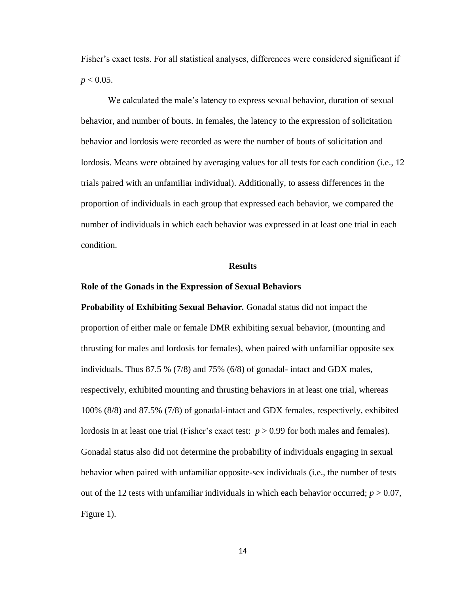Fisher's exact tests. For all statistical analyses, differences were considered significant if  $p < 0.05$ .

We calculated the male's latency to express sexual behavior, duration of sexual behavior, and number of bouts. In females, the latency to the expression of solicitation behavior and lordosis were recorded as were the number of bouts of solicitation and lordosis. Means were obtained by averaging values for all tests for each condition (i.e., 12 trials paired with an unfamiliar individual). Additionally, to assess differences in the proportion of individuals in each group that expressed each behavior, we compared the number of individuals in which each behavior was expressed in at least one trial in each condition.

#### **Results**

#### **Role of the Gonads in the Expression of Sexual Behaviors**

**Probability of Exhibiting Sexual Behavior***.* Gonadal status did not impact the proportion of either male or female DMR exhibiting sexual behavior, (mounting and thrusting for males and lordosis for females), when paired with unfamiliar opposite sex individuals. Thus 87.5 % (7/8) and 75% (6/8) of gonadal- intact and GDX males, respectively, exhibited mounting and thrusting behaviors in at least one trial, whereas 100% (8/8) and 87.5% (7/8) of gonadal-intact and GDX females, respectively, exhibited lordosis in at least one trial (Fisher's exact test: *p* > 0.99 for both males and females). Gonadal status also did not determine the probability of individuals engaging in sexual behavior when paired with unfamiliar opposite-sex individuals (i.e., the number of tests out of the 12 tests with unfamiliar individuals in which each behavior occurred;  $p > 0.07$ , Figure 1).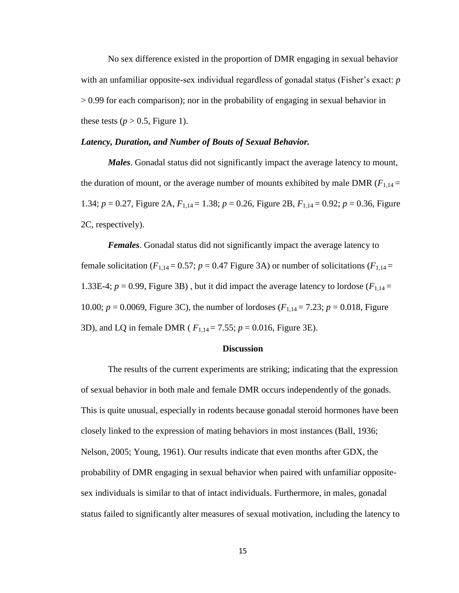No sex difference existed in the proportion of DMR engaging in sexual behavior with an unfamiliar opposite-sex individual regardless of gonadal status (Fisher's exact: *p* > 0.99 for each comparison); nor in the probability of engaging in sexual behavior in these tests ( $p > 0.5$ , Figure 1).

#### *Latency, Duration, and Number of Bouts of Sexual Behavior.*

*Males*. Gonadal status did not significantly impact the average latency to mount, the duration of mount, or the average number of mounts exhibited by male DMR  $(F_{1,14} =$ 1.34; *p* = 0.27, Figure 2A, *F*1,14 = 1.38; *p* = 0.26, Figure 2B, *F*1,14 = 0.92; *p* = 0.36, Figure 2C, respectively).

*Females*. Gonadal status did not significantly impact the average latency to female solicitation ( $F_{1,14} = 0.57$ ;  $p = 0.47$  Figure 3A) or number of solicitations ( $F_{1,14} =$ 1.33E-4;  $p = 0.99$ , Figure 3B), but it did impact the average latency to lordose ( $F_{1,14}$  = 10.00;  $p = 0.0069$ , Figure 3C), the number of lordoses ( $F_{1,14} = 7.23$ ;  $p = 0.018$ , Figure 3D), and LQ in female DMR ( *F*1,14 = 7.55; *p* = 0.016, Figure 3E).

#### **Discussion**

The results of the current experiments are striking; indicating that the expression of sexual behavior in both male and female DMR occurs independently of the gonads. This is quite unusual, especially in rodents because gonadal steroid hormones have been closely linked to the expression of mating behaviors in most instances (Ball, 1936; Nelson, 2005; Young, 1961). Our results indicate that even months after GDX, the probability of DMR engaging in sexual behavior when paired with unfamiliar oppositesex individuals is similar to that of intact individuals. Furthermore, in males, gonadal status failed to significantly alter measures of sexual motivation, including the latency to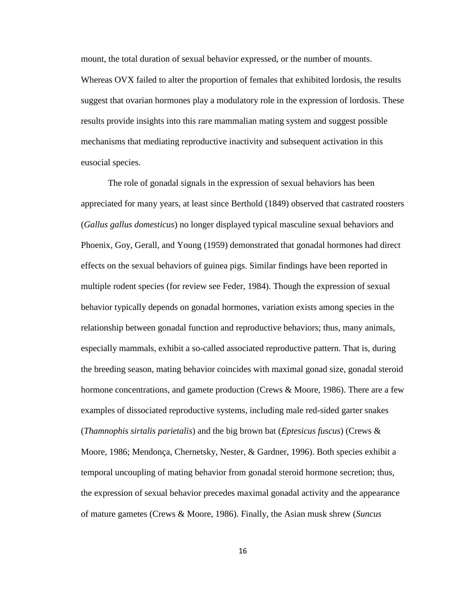mount, the total duration of sexual behavior expressed, or the number of mounts. Whereas OVX failed to alter the proportion of females that exhibited lordosis, the results suggest that ovarian hormones play a modulatory role in the expression of lordosis. These results provide insights into this rare mammalian mating system and suggest possible mechanisms that mediating reproductive inactivity and subsequent activation in this eusocial species.

The role of gonadal signals in the expression of sexual behaviors has been appreciated for many years, at least since Berthold (1849) observed that castrated roosters (*Gallus gallus domesticus*) no longer displayed typical masculine sexual behaviors and Phoenix, Goy, Gerall, and Young (1959) demonstrated that gonadal hormones had direct effects on the sexual behaviors of guinea pigs. Similar findings have been reported in multiple rodent species (for review see Feder, 1984). Though the expression of sexual behavior typically depends on gonadal hormones, variation exists among species in the relationship between gonadal function and reproductive behaviors; thus, many animals, especially mammals, exhibit a so-called associated reproductive pattern. That is, during the breeding season, mating behavior coincides with maximal gonad size, gonadal steroid hormone concentrations, and gamete production (Crews & Moore, 1986). There are a few examples of dissociated reproductive systems, including male red-sided garter snakes (*Thamnophis sirtalis parietalis*) and the big brown bat (*Eptesicus fuscus*) (Crews & Moore, 1986; Mendonça, Chernetsky, Nester, & Gardner, 1996). Both species exhibit a temporal uncoupling of mating behavior from gonadal steroid hormone secretion; thus, the expression of sexual behavior precedes maximal gonadal activity and the appearance of mature gametes (Crews & Moore, 1986). Finally, the Asian musk shrew (*Suncus*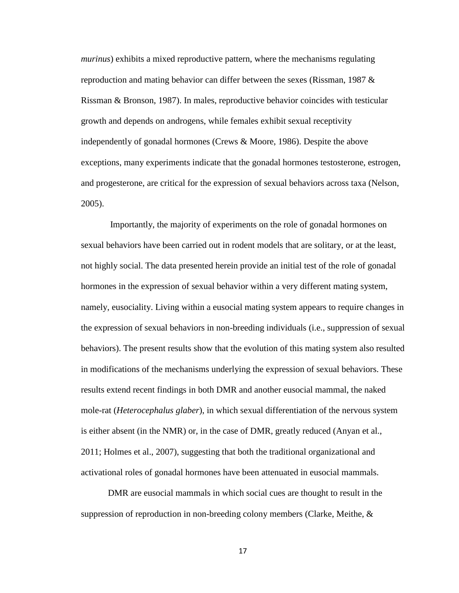*murinus*) exhibits a mixed reproductive pattern, where the mechanisms regulating reproduction and mating behavior can differ between the sexes (Rissman, 1987 & Rissman & Bronson, 1987). In males, reproductive behavior coincides with testicular growth and depends on androgens, while females exhibit sexual receptivity independently of gonadal hormones (Crews & Moore, 1986). Despite the above exceptions, many experiments indicate that the gonadal hormones testosterone, estrogen, and progesterone, are critical for the expression of sexual behaviors across taxa (Nelson, 2005).

Importantly, the majority of experiments on the role of gonadal hormones on sexual behaviors have been carried out in rodent models that are solitary, or at the least, not highly social. The data presented herein provide an initial test of the role of gonadal hormones in the expression of sexual behavior within a very different mating system, namely, eusociality. Living within a eusocial mating system appears to require changes in the expression of sexual behaviors in non-breeding individuals (i.e., suppression of sexual behaviors). The present results show that the evolution of this mating system also resulted in modifications of the mechanisms underlying the expression of sexual behaviors. These results extend recent findings in both DMR and another eusocial mammal, the naked mole-rat (*Heterocephalus glaber*), in which sexual differentiation of the nervous system is either absent (in the NMR) or, in the case of DMR, greatly reduced (Anyan et al., 2011; Holmes et al., 2007), suggesting that both the traditional organizational and activational roles of gonadal hormones have been attenuated in eusocial mammals.

DMR are eusocial mammals in which social cues are thought to result in the suppression of reproduction in non-breeding colony members (Clarke, Meithe, &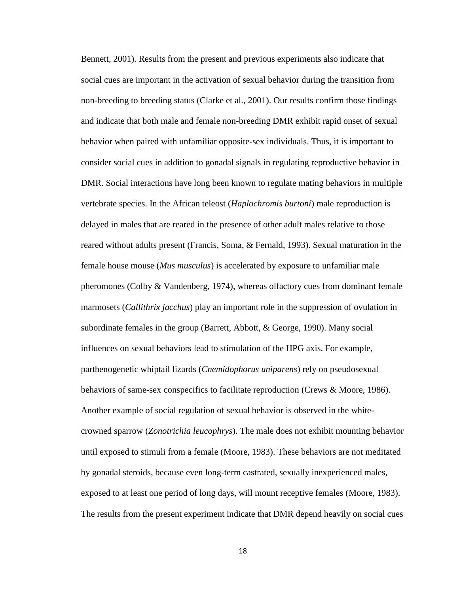Bennett, 2001). Results from the present and previous experiments also indicate that social cues are important in the activation of sexual behavior during the transition from non-breeding to breeding status (Clarke et al., 2001). Our results confirm those findings and indicate that both male and female non-breeding DMR exhibit rapid onset of sexual behavior when paired with unfamiliar opposite-sex individuals. Thus, it is important to consider social cues in addition to gonadal signals in regulating reproductive behavior in DMR. Social interactions have long been known to regulate mating behaviors in multiple vertebrate species. In the African teleost (*Haplochromis burtoni*) male reproduction is delayed in males that are reared in the presence of other adult males relative to those reared without adults present (Francis, Soma, & Fernald, 1993). Sexual maturation in the female house mouse (*Mus musculus*) is accelerated by exposure to unfamiliar male pheromones (Colby & Vandenberg, 1974), whereas olfactory cues from dominant female marmosets (*Callithrix jacchus*) play an important role in the suppression of ovulation in subordinate females in the group (Barrett, Abbott, & George, 1990). Many social influences on sexual behaviors lead to stimulation of the HPG axis. For example, parthenogenetic whiptail lizards (*Cnemidophorus uniparens*) rely on pseudosexual behaviors of same-sex conspecifics to facilitate reproduction (Crews & Moore, 1986). Another example of social regulation of sexual behavior is observed in the whitecrowned sparrow (*Zonotrichia leucophrys*). The male does not exhibit mounting behavior until exposed to stimuli from a female (Moore, 1983). These behaviors are not meditated by gonadal steroids, because even long-term castrated, sexually inexperienced males, exposed to at least one period of long days, will mount receptive females (Moore, 1983). The results from the present experiment indicate that DMR depend heavily on social cues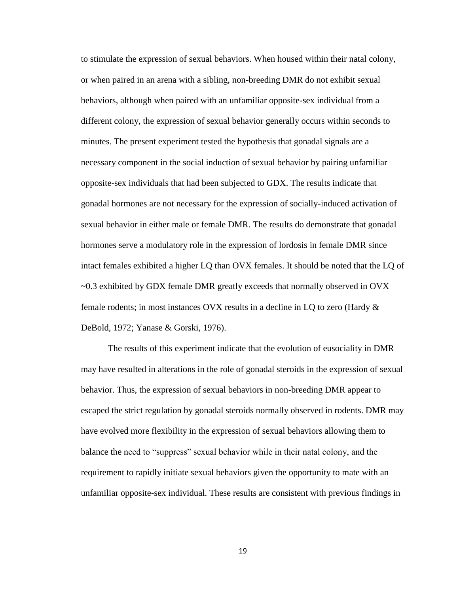to stimulate the expression of sexual behaviors. When housed within their natal colony, or when paired in an arena with a sibling, non-breeding DMR do not exhibit sexual behaviors, although when paired with an unfamiliar opposite-sex individual from a different colony, the expression of sexual behavior generally occurs within seconds to minutes. The present experiment tested the hypothesis that gonadal signals are a necessary component in the social induction of sexual behavior by pairing unfamiliar opposite-sex individuals that had been subjected to GDX. The results indicate that gonadal hormones are not necessary for the expression of socially-induced activation of sexual behavior in either male or female DMR. The results do demonstrate that gonadal hormones serve a modulatory role in the expression of lordosis in female DMR since intact females exhibited a higher LQ than OVX females. It should be noted that the LQ of ~0.3 exhibited by GDX female DMR greatly exceeds that normally observed in OVX female rodents; in most instances OVX results in a decline in LQ to zero (Hardy & DeBold, 1972; Yanase & Gorski, 1976).

The results of this experiment indicate that the evolution of eusociality in DMR may have resulted in alterations in the role of gonadal steroids in the expression of sexual behavior. Thus, the expression of sexual behaviors in non-breeding DMR appear to escaped the strict regulation by gonadal steroids normally observed in rodents. DMR may have evolved more flexibility in the expression of sexual behaviors allowing them to balance the need to "suppress" sexual behavior while in their natal colony, and the requirement to rapidly initiate sexual behaviors given the opportunity to mate with an unfamiliar opposite-sex individual. These results are consistent with previous findings in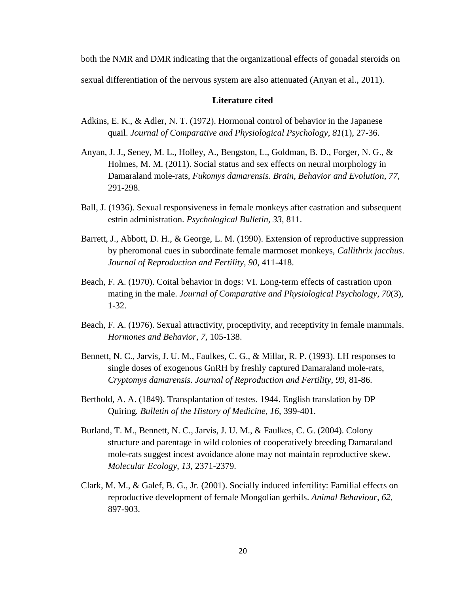both the NMR and DMR indicating that the organizational effects of gonadal steroids on sexual differentiation of the nervous system are also attenuated (Anyan et al., 2011).

#### **Literature cited**

- Adkins, E. K., & Adler, N. T. (1972). Hormonal control of behavior in the Japanese quail. *Journal of Comparative and Physiological Psychology*, *81*(1), 27-36.
- Anyan, J. J., Seney, M. L., Holley, A., Bengston, L., Goldman, B. D., Forger, N. G., & Holmes, M. M. (2011). Social status and sex effects on neural morphology in Damaraland mole-rats, *Fukomys damarensis*. *Brain, Behavior and Evolution*, *77*, 291-298.
- Ball, J. (1936). Sexual responsiveness in female monkeys after castration and subsequent estrin administration. *Psychological Bulletin, 33,* 811.
- Barrett, J., Abbott, D. H., & George, L. M. (1990). Extension of reproductive suppression by pheromonal cues in subordinate female marmoset monkeys, *Callithrix jacchus*. *Journal of Reproduction and Fertility, 90*, 411-418.
- Beach, F. A. (1970). Coital behavior in dogs: VI. Long-term effects of castration upon mating in the male. *Journal of Comparative and Physiological Psychology*, *70*(3), 1-32.
- Beach, F. A. (1976). Sexual attractivity, proceptivity, and receptivity in female mammals. *Hormones and Behavior*, *7*, 105-138.
- Bennett, N. C., Jarvis, J. U. M., Faulkes, C. G., & Millar, R. P. (1993). LH responses to single doses of exogenous GnRH by freshly captured Damaraland mole-rats, *Cryptomys damarensis*. *Journal of Reproduction and Fertility*, *99*, 81-86.
- Berthold, A. A. (1849). Transplantation of testes. 1944. English translation by DP Quiring*. Bulletin of the History of Medicine*, *16*, 399-401.
- Burland, T. M., Bennett, N. C., Jarvis, J. U. M., & Faulkes, C. G. (2004). Colony structure and parentage in wild colonies of cooperatively breeding Damaraland mole-rats suggest incest avoidance alone may not maintain reproductive skew. *Molecular Ecology*, *13*, 2371-2379.
- Clark, M. M., & Galef, B. G., Jr. (2001). Socially induced infertility: Familial effects on reproductive development of female Mongolian gerbils. *Animal Behaviour*, *62*, 897-903.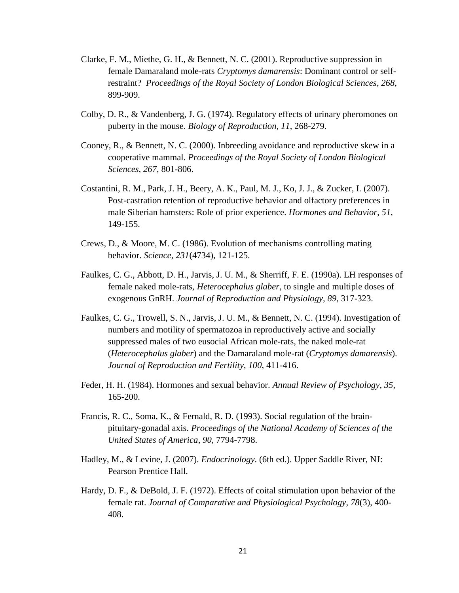- Clarke, F. M., Miethe, G. H., & Bennett, N. C. (2001). Reproductive suppression in female Damaraland mole-rats *Cryptomys damarensis*: Dominant control or selfrestraint? *Proceedings of the Royal Society of London Biological Sciences*, *268*, 899-909.
- Colby, D. R., & Vandenberg, J. G. (1974). Regulatory effects of urinary pheromones on puberty in the mouse. *Biology of Reproduction*, *11*, 268-279.
- Cooney, R., & Bennett, N. C. (2000). Inbreeding avoidance and reproductive skew in a cooperative mammal. *Proceedings of the Royal Society of London Biological Sciences*, *267*, 801-806.
- Costantini, R. M., Park, J. H., Beery, A. K., Paul, M. J., Ko, J. J., & Zucker, I. (2007). Post-castration retention of reproductive behavior and olfactory preferences in male Siberian hamsters: Role of prior experience. *Hormones and Behavior*, *51*, 149-155.
- Crews, D., & Moore, M. C. (1986). Evolution of mechanisms controlling mating behavior. *Science*, *231*(4734), 121-125.
- Faulkes, C. G., Abbott, D. H., Jarvis, J. U. M., & Sherriff, F. E. (1990a). LH responses of female naked mole-rats, *Heterocephalus glaber*, to single and multiple doses of exogenous GnRH. *Journal of Reproduction and Physiology, 89*, 317-323.
- Faulkes, C. G., Trowell, S. N., Jarvis, J. U. M., & Bennett, N. C. (1994). Investigation of numbers and motility of spermatozoa in reproductively active and socially suppressed males of two eusocial African mole-rats, the naked mole-rat (*Heterocephalus glaber*) and the Damaraland mole-rat (*Cryptomys damarensis*). *Journal of Reproduction and Fertility*, *100*, 411-416.
- Feder, H. H. (1984). Hormones and sexual behavior. *Annual Review of Psychology*, *35*, 165-200.
- Francis, R. C., Soma, K., & Fernald, R. D. (1993). Social regulation of the brainpituitary-gonadal axis. *Proceedings of the National Academy of Sciences of the United States of America*, *90*, 7794-7798.
- Hadley, M., & Levine, J. (2007). *Endocrinology*. (6th ed.). Upper Saddle River, NJ: Pearson Prentice Hall.
- Hardy, D. F., & DeBold, J. F. (1972). Effects of coital stimulation upon behavior of the female rat. *Journal of Comparative and Physiological Psychology*, *78*(3), 400- 408.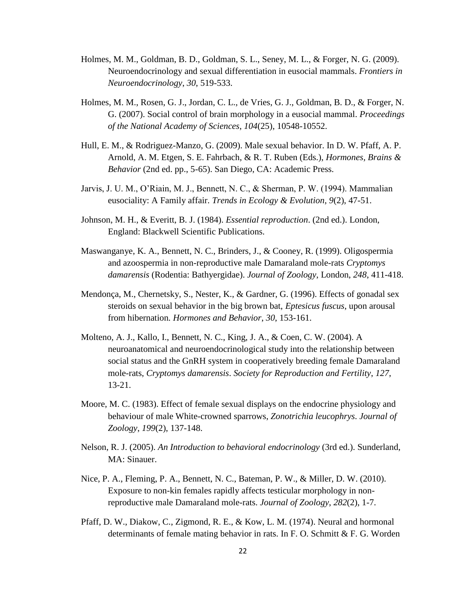- Holmes, M. M., Goldman, B. D., Goldman, S. L., Seney, M. L., & Forger, N. G. (2009). Neuroendocrinology and sexual differentiation in eusocial mammals. *Frontiers in Neuroendocrinology*, *30*, 519-533.
- Holmes, M. M., Rosen, G. J., Jordan, C. L., de Vries, G. J., Goldman, B. D., & Forger, N. G. (2007). Social control of brain morphology in a eusocial mammal. *Proceedings of the National Academy of Sciences*, *104*(25), 10548-10552.
- Hull, E. M., & Rodriguez-Manzo, G. (2009). Male sexual behavior. In D. W. Pfaff, A. P. Arnold, A. M. Etgen, S. E. Fahrbach, & R. T. Ruben (Eds.), *Hormones, Brains & Behavior* (2nd ed. pp., 5-65). San Diego, CA: Academic Press.
- Jarvis, J. U. M., O'Riain, M. J., Bennett, N. C., & Sherman, P. W. (1994). Mammalian eusociality: A Family affair. *Trends in Ecology & Evolution*, *9*(2), 47-51.
- Johnson, M. H., & Everitt, B. J. (1984). *Essential reproduction*. (2nd ed.). London, England: Blackwell Scientific Publications.
- Maswanganye, K. A., Bennett, N. C., Brinders, J., & Cooney, R. (1999). Oligospermia and azoospermia in non-reproductive male Damaraland mole-rats *Cryptomys damarensis* (Rodentia: Bathyergidae). *Journal of Zoology*, London, *248*, 411-418.
- Mendonça, M., Chernetsky, S., Nester, K., & Gardner, G. (1996). Effects of gonadal sex steroids on sexual behavior in the big brown bat, *Eptesicus fuscus*, upon arousal from hibernation*. Hormones and Behavior*, *30*, 153-161.
- Molteno, A. J., Kallo, I., Bennett, N. C., King, J. A., & Coen, C. W. (2004). A neuroanatomical and neuroendocrinological study into the relationship between social status and the GnRH system in cooperatively breeding female Damaraland mole-rats, *Cryptomys damarensis*. *Society for Reproduction and Fertility*, *127*, 13-21.
- Moore, M. C. (1983). Effect of female sexual displays on the endocrine physiology and behaviour of male White-crowned sparrows, *Zonotrichia leucophrys*. *Journal of Zoology*, *199*(2), 137-148.
- Nelson, R. J. (2005). *An Introduction to behavioral endocrinology* (3rd ed.). Sunderland, MA: Sinauer.
- Nice, P. A., Fleming, P. A., Bennett, N. C., Bateman, P. W., & Miller, D. W. (2010). Exposure to non-kin females rapidly affects testicular morphology in nonreproductive male Damaraland mole-rats. *Journal of Zoology*, *282*(2), 1-7.
- Pfaff, D. W., Diakow, C., Zigmond, R. E., & Kow, L. M. (1974). Neural and hormonal determinants of female mating behavior in rats. In F. O. Schmitt & F. G. Worden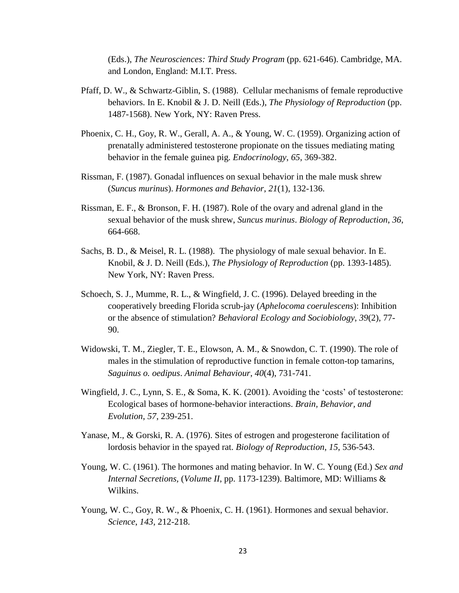(Eds.), *The Neurosciences: Third Study Program* (pp. 621-646). Cambridge, MA. and London, England: M.I.T. Press.

- Pfaff, D. W., & Schwartz-Giblin, S. (1988). Cellular mechanisms of female reproductive behaviors. In E. Knobil & J. D. Neill (Eds.), *The Physiology of Reproduction* (pp. 1487-1568). New York, NY: Raven Press.
- Phoenix, C. H., Goy, R. W., Gerall, A. A., & Young, W. C. (1959). Organizing action of prenatally administered testosterone propionate on the tissues mediating mating behavior in the female guinea pig. *Endocrinology*, *65*, 369-382.
- Rissman, F. (1987). Gonadal influences on sexual behavior in the male musk shrew (*Suncus murinus*). *Hormones and Behavior*, *21*(1), 132-136.
- Rissman, E. F., & Bronson, F. H. (1987). Role of the ovary and adrenal gland in the sexual behavior of the musk shrew, *Suncus murinus*. *Biology of Reproduction*, *36*, 664-668.
- Sachs, B. D., & Meisel, R. L. (1988). The physiology of male sexual behavior. In E. Knobil, & J. D. Neill (Eds.), *The Physiology of Reproduction* (pp. 1393-1485). New York, NY: Raven Press.
- Schoech, S. J., Mumme, R. L., & Wingfield, J. C. (1996). Delayed breeding in the cooperatively breeding Florida scrub-jay (*Aphelocoma coerulescens*): Inhibition or the absence of stimulation? *Behavioral Ecology and Sociobiology*, *39*(2), 77- 90.
- Widowski, T. M., Ziegler, T. E., Elowson, A. M., & Snowdon, C. T. (1990). The role of males in the stimulation of reproductive function in female cotton-top tamarins, *Saguinus o. oedipus*. *Animal Behaviour*, *40*(4), 731-741.
- Wingfield, J. C., Lynn, S. E., & Soma, K. K. (2001). Avoiding the 'costs' of testosterone: Ecological bases of hormone-behavior interactions. *Brain, Behavior, and Evolution*, *57*, 239-251.
- Yanase, M., & Gorski, R. A. (1976). Sites of estrogen and progesterone facilitation of lordosis behavior in the spayed rat. *Biology of Reproduction*, *15*, 536-543.
- Young, W. C. (1961). The hormones and mating behavior. In W. C. Young (Ed.) *Sex and Internal Secretions,* (*Volume II*, pp. 1173-1239). Baltimore, MD: Williams & Wilkins.
- Young, W. C., Goy, R. W., & Phoenix, C. H. (1961). Hormones and sexual behavior. *Science*, *143*, 212-218.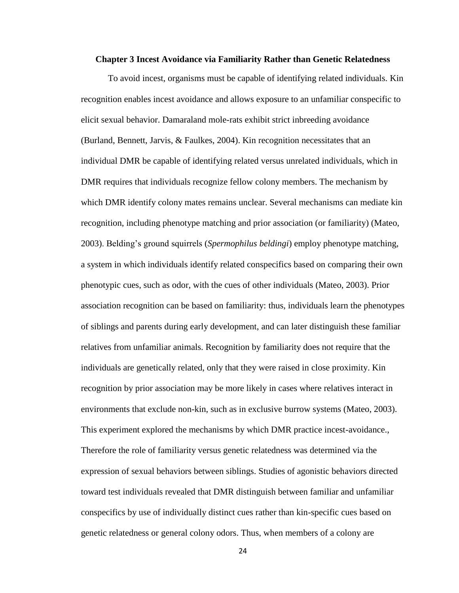#### **Chapter 3 Incest Avoidance via Familiarity Rather than Genetic Relatedness**

To avoid incest, organisms must be capable of identifying related individuals. Kin recognition enables incest avoidance and allows exposure to an unfamiliar conspecific to elicit sexual behavior. Damaraland mole-rats exhibit strict inbreeding avoidance (Burland, Bennett, Jarvis, & Faulkes, 2004). Kin recognition necessitates that an individual DMR be capable of identifying related versus unrelated individuals, which in DMR requires that individuals recognize fellow colony members. The mechanism by which DMR identify colony mates remains unclear. Several mechanisms can mediate kin recognition, including phenotype matching and prior association (or familiarity) (Mateo, 2003). Belding's ground squirrels (*Spermophilus beldingi*) employ phenotype matching, a system in which individuals identify related conspecifics based on comparing their own phenotypic cues, such as odor, with the cues of other individuals (Mateo, 2003). Prior association recognition can be based on familiarity: thus, individuals learn the phenotypes of siblings and parents during early development, and can later distinguish these familiar relatives from unfamiliar animals. Recognition by familiarity does not require that the individuals are genetically related, only that they were raised in close proximity. Kin recognition by prior association may be more likely in cases where relatives interact in environments that exclude non-kin, such as in exclusive burrow systems (Mateo, 2003). This experiment explored the mechanisms by which DMR practice incest-avoidance., Therefore the role of familiarity versus genetic relatedness was determined via the expression of sexual behaviors between siblings. Studies of agonistic behaviors directed toward test individuals revealed that DMR distinguish between familiar and unfamiliar conspecifics by use of individually distinct cues rather than kin-specific cues based on genetic relatedness or general colony odors. Thus, when members of a colony are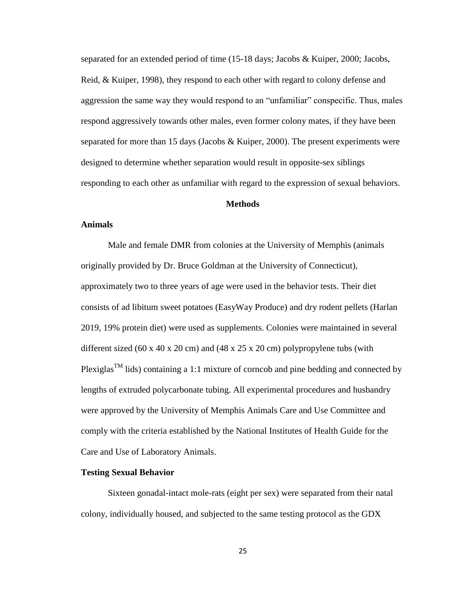separated for an extended period of time (15-18 days; Jacobs & Kuiper, 2000; Jacobs, Reid, & Kuiper, 1998), they respond to each other with regard to colony defense and aggression the same way they would respond to an "unfamiliar" conspecific. Thus, males respond aggressively towards other males, even former colony mates, if they have been separated for more than 15 days (Jacobs  $\&$  Kuiper, 2000). The present experiments were designed to determine whether separation would result in opposite-sex siblings responding to each other as unfamiliar with regard to the expression of sexual behaviors.

#### **Methods**

#### **Animals**

Male and female DMR from colonies at the University of Memphis (animals originally provided by Dr. Bruce Goldman at the University of Connecticut), approximately two to three years of age were used in the behavior tests. Their diet consists of ad libitum sweet potatoes (EasyWay Produce) and dry rodent pellets (Harlan 2019, 19% protein diet) were used as supplements. Colonies were maintained in several different sized (60 x 40 x 20 cm) and (48 x 25 x 20 cm) polypropylene tubs (with Plexiglas<sup>TM</sup> lids) containing a 1:1 mixture of corncob and pine bedding and connected by lengths of extruded polycarbonate tubing. All experimental procedures and husbandry were approved by the University of Memphis Animals Care and Use Committee and comply with the criteria established by the National Institutes of Health Guide for the Care and Use of Laboratory Animals.

#### **Testing Sexual Behavior**

Sixteen gonadal-intact mole-rats (eight per sex) were separated from their natal colony, individually housed, and subjected to the same testing protocol as the GDX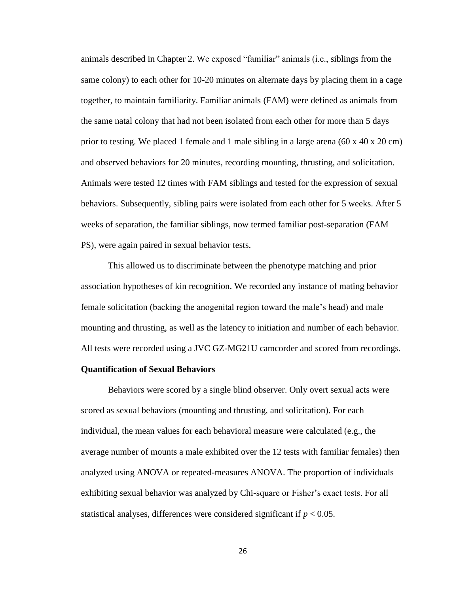animals described in Chapter 2. We exposed "familiar" animals (i.e., siblings from the same colony) to each other for 10-20 minutes on alternate days by placing them in a cage together, to maintain familiarity. Familiar animals (FAM) were defined as animals from the same natal colony that had not been isolated from each other for more than 5 days prior to testing. We placed 1 female and 1 male sibling in a large arena (60 x 40 x 20 cm) and observed behaviors for 20 minutes, recording mounting, thrusting, and solicitation. Animals were tested 12 times with FAM siblings and tested for the expression of sexual behaviors. Subsequently, sibling pairs were isolated from each other for 5 weeks. After 5 weeks of separation, the familiar siblings, now termed familiar post-separation (FAM PS), were again paired in sexual behavior tests.

This allowed us to discriminate between the phenotype matching and prior association hypotheses of kin recognition. We recorded any instance of mating behavior female solicitation (backing the anogenital region toward the male's head) and male mounting and thrusting, as well as the latency to initiation and number of each behavior. All tests were recorded using a JVC GZ-MG21U camcorder and scored from recordings.

#### **Quantification of Sexual Behaviors**

Behaviors were scored by a single blind observer. Only overt sexual acts were scored as sexual behaviors (mounting and thrusting, and solicitation). For each individual, the mean values for each behavioral measure were calculated (e.g., the average number of mounts a male exhibited over the 12 tests with familiar females) then analyzed using ANOVA or repeated-measures ANOVA. The proportion of individuals exhibiting sexual behavior was analyzed by Chi-square or Fisher's exact tests. For all statistical analyses, differences were considered significant if  $p < 0.05$ .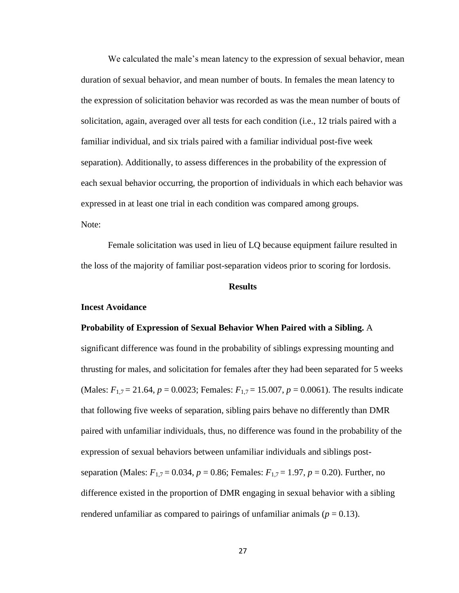We calculated the male's mean latency to the expression of sexual behavior, mean duration of sexual behavior, and mean number of bouts. In females the mean latency to the expression of solicitation behavior was recorded as was the mean number of bouts of solicitation, again, averaged over all tests for each condition (i.e., 12 trials paired with a familiar individual, and six trials paired with a familiar individual post-five week separation). Additionally, to assess differences in the probability of the expression of each sexual behavior occurring, the proportion of individuals in which each behavior was expressed in at least one trial in each condition was compared among groups. Note:

Female solicitation was used in lieu of LQ because equipment failure resulted in the loss of the majority of familiar post-separation videos prior to scoring for lordosis.

#### **Results**

#### **Incest Avoidance**

#### **Probability of Expression of Sexual Behavior When Paired with a Sibling.** A

significant difference was found in the probability of siblings expressing mounting and thrusting for males, and solicitation for females after they had been separated for 5 weeks (Males:  $F_{1,7} = 21.64$ ,  $p = 0.0023$ ; Females:  $F_{1,7} = 15.007$ ,  $p = 0.0061$ ). The results indicate that following five weeks of separation, sibling pairs behave no differently than DMR paired with unfamiliar individuals, thus, no difference was found in the probability of the expression of sexual behaviors between unfamiliar individuals and siblings postseparation (Males: *F*1,7 = 0.034, *p* = 0.86; Females: *F*1,7 = 1.97, *p* = 0.20). Further, no difference existed in the proportion of DMR engaging in sexual behavior with a sibling rendered unfamiliar as compared to pairings of unfamiliar animals ( $p = 0.13$ ).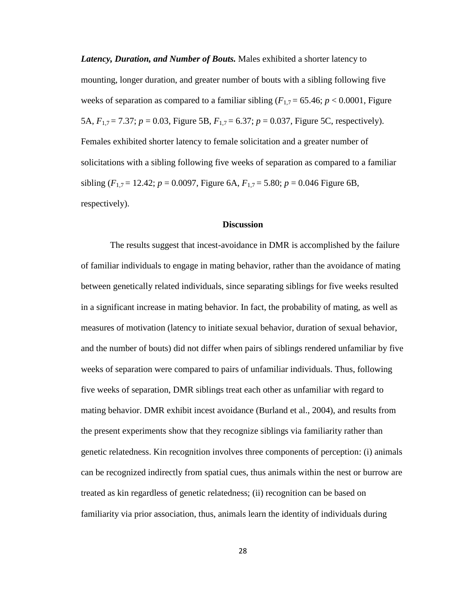*Latency, Duration, and Number of Bouts.* Males exhibited a shorter latency to mounting, longer duration, and greater number of bouts with a sibling following five weeks of separation as compared to a familiar sibling ( $F_{1,7} = 65.46$ ;  $p < 0.0001$ , Figure 5A, *F*1,7 = 7.37; *p* = 0.03, Figure 5B, *F*1,7 = 6.37; *p* = 0.037, Figure 5C, respectively). Females exhibited shorter latency to female solicitation and a greater number of solicitations with a sibling following five weeks of separation as compared to a familiar sibling  $(F_{1,7} = 12.42; p = 0.0097$ , Figure 6A,  $F_{1,7} = 5.80; p = 0.046$  Figure 6B, respectively).

#### **Discussion**

The results suggest that incest-avoidance in DMR is accomplished by the failure of familiar individuals to engage in mating behavior, rather than the avoidance of mating between genetically related individuals, since separating siblings for five weeks resulted in a significant increase in mating behavior. In fact, the probability of mating, as well as measures of motivation (latency to initiate sexual behavior, duration of sexual behavior, and the number of bouts) did not differ when pairs of siblings rendered unfamiliar by five weeks of separation were compared to pairs of unfamiliar individuals. Thus, following five weeks of separation, DMR siblings treat each other as unfamiliar with regard to mating behavior. DMR exhibit incest avoidance (Burland et al., 2004), and results from the present experiments show that they recognize siblings via familiarity rather than genetic relatedness. Kin recognition involves three components of perception: (i) animals can be recognized indirectly from spatial cues, thus animals within the nest or burrow are treated as kin regardless of genetic relatedness; (ii) recognition can be based on familiarity via prior association, thus, animals learn the identity of individuals during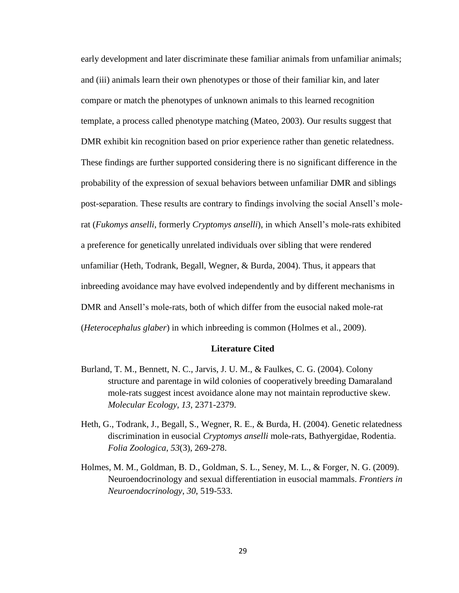early development and later discriminate these familiar animals from unfamiliar animals; and (iii) animals learn their own phenotypes or those of their familiar kin, and later compare or match the phenotypes of unknown animals to this learned recognition template, a process called phenotype matching (Mateo, 2003). Our results suggest that DMR exhibit kin recognition based on prior experience rather than genetic relatedness. These findings are further supported considering there is no significant difference in the probability of the expression of sexual behaviors between unfamiliar DMR and siblings post-separation. These results are contrary to findings involving the social Ansell's molerat (*Fukomys anselli*, formerly *Cryptomys anselli*), in which Ansell's mole-rats exhibited a preference for genetically unrelated individuals over sibling that were rendered unfamiliar (Heth, Todrank, Begall, Wegner, & Burda, 2004). Thus, it appears that inbreeding avoidance may have evolved independently and by different mechanisms in DMR and Ansell's mole-rats, both of which differ from the eusocial naked mole-rat (*Heterocephalus glaber*) in which inbreeding is common (Holmes et al., 2009).

#### **Literature Cited**

- Burland, T. M., Bennett, N. C., Jarvis, J. U. M., & Faulkes, C. G. (2004). Colony structure and parentage in wild colonies of cooperatively breeding Damaraland mole-rats suggest incest avoidance alone may not maintain reproductive skew. *Molecular Ecology*, *13*, 2371-2379.
- Heth, G., Todrank, J., Begall, S., Wegner, R. E., & Burda, H. (2004). Genetic relatedness discrimination in eusocial *Cryptomys anselli* mole-rats, Bathyergidae, Rodentia. *Folia Zoologica*, *53*(3), 269-278.
- Holmes, M. M., Goldman, B. D., Goldman, S. L., Seney, M. L., & Forger, N. G. (2009). Neuroendocrinology and sexual differentiation in eusocial mammals. *Frontiers in Neuroendocrinology*, *30*, 519-533.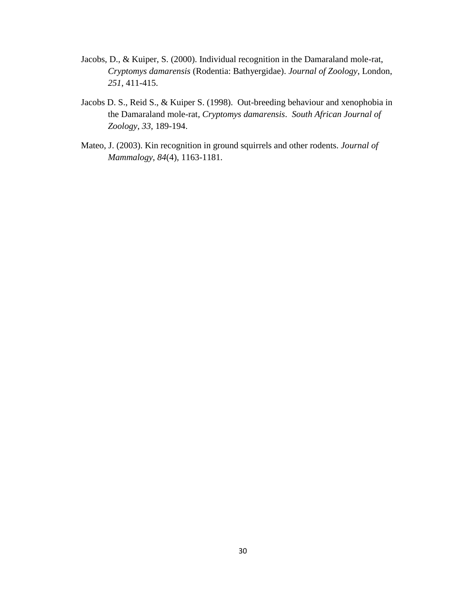- Jacobs, D., & Kuiper, S. (2000). Individual recognition in the Damaraland mole-rat, *Cryptomys damarensis* (Rodentia: Bathyergidae). *Journal of Zoology*, London, *251*, 411-415.
- Jacobs D. S., Reid S., & Kuiper S. (1998). Out-breeding behaviour and xenophobia in the Damaraland mole-rat, *Cryptomys damarensis*. *South African Journal of Zoology*, *33*, 189-194.
- Mateo, J. (2003). Kin recognition in ground squirrels and other rodents. *Journal of Mammalogy*, *84*(4), 1163-1181.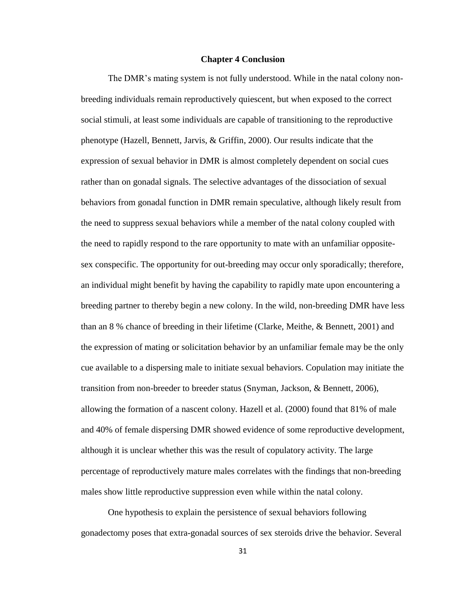#### **Chapter 4 Conclusion**

The DMR's mating system is not fully understood. While in the natal colony nonbreeding individuals remain reproductively quiescent, but when exposed to the correct social stimuli, at least some individuals are capable of transitioning to the reproductive phenotype (Hazell, Bennett, Jarvis, & Griffin, 2000). Our results indicate that the expression of sexual behavior in DMR is almost completely dependent on social cues rather than on gonadal signals. The selective advantages of the dissociation of sexual behaviors from gonadal function in DMR remain speculative, although likely result from the need to suppress sexual behaviors while a member of the natal colony coupled with the need to rapidly respond to the rare opportunity to mate with an unfamiliar oppositesex conspecific. The opportunity for out-breeding may occur only sporadically; therefore, an individual might benefit by having the capability to rapidly mate upon encountering a breeding partner to thereby begin a new colony. In the wild, non-breeding DMR have less than an 8 % chance of breeding in their lifetime (Clarke, Meithe, & Bennett, 2001) and the expression of mating or solicitation behavior by an unfamiliar female may be the only cue available to a dispersing male to initiate sexual behaviors. Copulation may initiate the transition from non-breeder to breeder status (Snyman, Jackson, & Bennett, 2006), allowing the formation of a nascent colony. Hazell et al. (2000) found that 81% of male and 40% of female dispersing DMR showed evidence of some reproductive development, although it is unclear whether this was the result of copulatory activity. The large percentage of reproductively mature males correlates with the findings that non-breeding males show little reproductive suppression even while within the natal colony.

One hypothesis to explain the persistence of sexual behaviors following gonadectomy poses that extra-gonadal sources of sex steroids drive the behavior. Several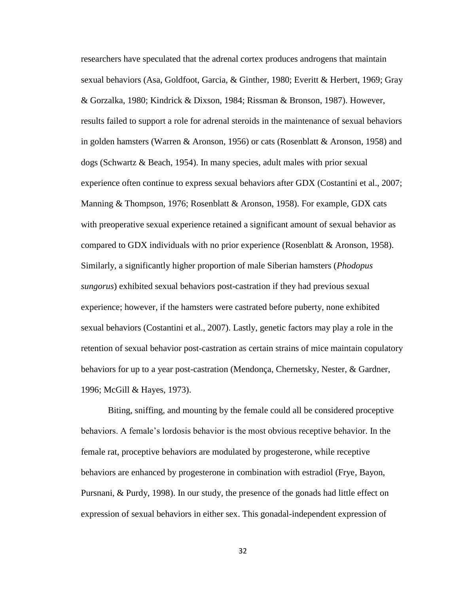researchers have speculated that the adrenal cortex produces androgens that maintain sexual behaviors (Asa, Goldfoot, Garcia, & Ginther, 1980; Everitt & Herbert, 1969; Gray & Gorzalka, 1980; Kindrick & Dixson, 1984; Rissman & Bronson, 1987). However, results failed to support a role for adrenal steroids in the maintenance of sexual behaviors in golden hamsters (Warren & Aronson, 1956) or cats (Rosenblatt & Aronson, 1958) and dogs (Schwartz & Beach, 1954). In many species, adult males with prior sexual experience often continue to express sexual behaviors after GDX (Costantini et al., 2007; Manning & Thompson, 1976; Rosenblatt & Aronson, 1958). For example, GDX cats with preoperative sexual experience retained a significant amount of sexual behavior as compared to GDX individuals with no prior experience (Rosenblatt & Aronson, 1958). Similarly, a significantly higher proportion of male Siberian hamsters (*Phodopus sungorus*) exhibited sexual behaviors post-castration if they had previous sexual experience; however, if the hamsters were castrated before puberty, none exhibited sexual behaviors (Costantini et al., 2007). Lastly, genetic factors may play a role in the retention of sexual behavior post-castration as certain strains of mice maintain copulatory behaviors for up to a year post-castration (Mendonça, Chernetsky, Nester, & Gardner, 1996; McGill & Hayes, 1973).

Biting, sniffing, and mounting by the female could all be considered proceptive behaviors. A female's lordosis behavior is the most obvious receptive behavior. In the female rat, proceptive behaviors are modulated by progesterone, while receptive behaviors are enhanced by progesterone in combination with estradiol (Frye, Bayon, Pursnani, & Purdy, 1998). In our study, the presence of the gonads had little effect on expression of sexual behaviors in either sex. This gonadal-independent expression of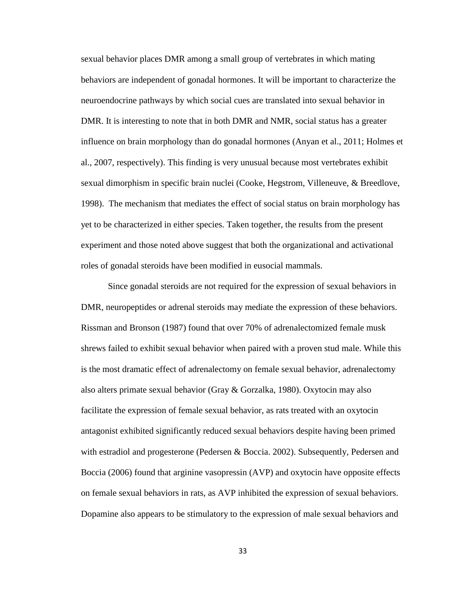sexual behavior places DMR among a small group of vertebrates in which mating behaviors are independent of gonadal hormones. It will be important to characterize the neuroendocrine pathways by which social cues are translated into sexual behavior in DMR. It is interesting to note that in both DMR and NMR, social status has a greater influence on brain morphology than do gonadal hormones (Anyan et al., 2011; Holmes et al., 2007, respectively). This finding is very unusual because most vertebrates exhibit sexual dimorphism in specific brain nuclei (Cooke, Hegstrom, Villeneuve, & Breedlove, 1998). The mechanism that mediates the effect of social status on brain morphology has yet to be characterized in either species. Taken together, the results from the present experiment and those noted above suggest that both the organizational and activational roles of gonadal steroids have been modified in eusocial mammals.

Since gonadal steroids are not required for the expression of sexual behaviors in DMR, neuropeptides or adrenal steroids may mediate the expression of these behaviors. Rissman and Bronson (1987) found that over 70% of adrenalectomized female musk shrews failed to exhibit sexual behavior when paired with a proven stud male. While this is the most dramatic effect of adrenalectomy on female sexual behavior, adrenalectomy also alters primate sexual behavior (Gray & Gorzalka, 1980). Oxytocin may also facilitate the expression of female sexual behavior, as rats treated with an oxytocin antagonist exhibited significantly reduced sexual behaviors despite having been primed with estradiol and progesterone (Pedersen & Boccia. 2002). Subsequently, Pedersen and Boccia (2006) found that arginine vasopressin (AVP) and oxytocin have opposite effects on female sexual behaviors in rats, as AVP inhibited the expression of sexual behaviors. Dopamine also appears to be stimulatory to the expression of male sexual behaviors and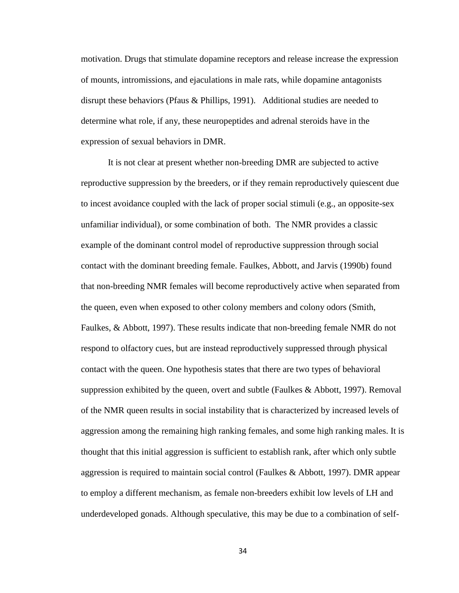motivation. Drugs that stimulate dopamine receptors and release increase the expression of mounts, intromissions, and ejaculations in male rats, while dopamine antagonists disrupt these behaviors (Pfaus & Phillips, 1991). Additional studies are needed to determine what role, if any, these neuropeptides and adrenal steroids have in the expression of sexual behaviors in DMR.

It is not clear at present whether non-breeding DMR are subjected to active reproductive suppression by the breeders, or if they remain reproductively quiescent due to incest avoidance coupled with the lack of proper social stimuli (e.g., an opposite-sex unfamiliar individual), or some combination of both. The NMR provides a classic example of the dominant control model of reproductive suppression through social contact with the dominant breeding female. Faulkes, Abbott, and Jarvis (1990b) found that non-breeding NMR females will become reproductively active when separated from the queen, even when exposed to other colony members and colony odors (Smith, Faulkes, & Abbott, 1997). These results indicate that non-breeding female NMR do not respond to olfactory cues, but are instead reproductively suppressed through physical contact with the queen. One hypothesis states that there are two types of behavioral suppression exhibited by the queen, overt and subtle (Faulkes  $\&$  Abbott, 1997). Removal of the NMR queen results in social instability that is characterized by increased levels of aggression among the remaining high ranking females, and some high ranking males. It is thought that this initial aggression is sufficient to establish rank, after which only subtle aggression is required to maintain social control (Faulkes & Abbott, 1997). DMR appear to employ a different mechanism, as female non-breeders exhibit low levels of LH and underdeveloped gonads. Although speculative, this may be due to a combination of self-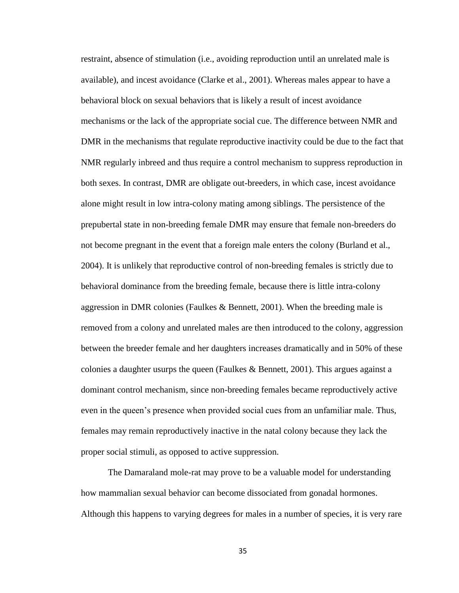restraint, absence of stimulation (i.e., avoiding reproduction until an unrelated male is available), and incest avoidance (Clarke et al., 2001). Whereas males appear to have a behavioral block on sexual behaviors that is likely a result of incest avoidance mechanisms or the lack of the appropriate social cue. The difference between NMR and DMR in the mechanisms that regulate reproductive inactivity could be due to the fact that NMR regularly inbreed and thus require a control mechanism to suppress reproduction in both sexes. In contrast, DMR are obligate out-breeders, in which case, incest avoidance alone might result in low intra-colony mating among siblings. The persistence of the prepubertal state in non-breeding female DMR may ensure that female non-breeders do not become pregnant in the event that a foreign male enters the colony (Burland et al., 2004). It is unlikely that reproductive control of non-breeding females is strictly due to behavioral dominance from the breeding female, because there is little intra-colony aggression in DMR colonies (Faulkes & Bennett, 2001). When the breeding male is removed from a colony and unrelated males are then introduced to the colony, aggression between the breeder female and her daughters increases dramatically and in 50% of these colonies a daughter usurps the queen (Faulkes  $\&$  Bennett, 2001). This argues against a dominant control mechanism, since non-breeding females became reproductively active even in the queen's presence when provided social cues from an unfamiliar male. Thus, females may remain reproductively inactive in the natal colony because they lack the proper social stimuli, as opposed to active suppression.

The Damaraland mole-rat may prove to be a valuable model for understanding how mammalian sexual behavior can become dissociated from gonadal hormones. Although this happens to varying degrees for males in a number of species, it is very rare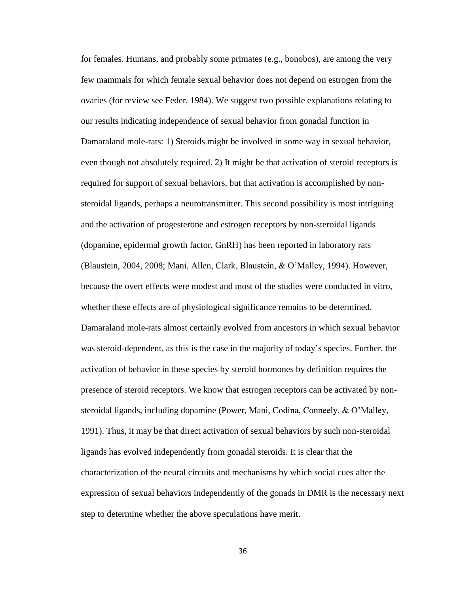for females. Humans, and probably some primates (e.g., bonobos), are among the very few mammals for which female sexual behavior does not depend on estrogen from the ovaries (for review see Feder, 1984). We suggest two possible explanations relating to our results indicating independence of sexual behavior from gonadal function in Damaraland mole-rats: 1) Steroids might be involved in some way in sexual behavior, even though not absolutely required. 2) It might be that activation of steroid receptors is required for support of sexual behaviors, but that activation is accomplished by nonsteroidal ligands, perhaps a neurotransmitter. This second possibility is most intriguing and the activation of progesterone and estrogen receptors by non-steroidal ligands (dopamine, epidermal growth factor, GnRH) has been reported in laboratory rats (Blaustein, 2004, 2008; Mani, Allen, Clark, Blaustein, & O'Malley, 1994). However, because the overt effects were modest and most of the studies were conducted in vitro, whether these effects are of physiological significance remains to be determined. Damaraland mole-rats almost certainly evolved from ancestors in which sexual behavior was steroid-dependent, as this is the case in the majority of today's species. Further, the activation of behavior in these species by steroid hormones by definition requires the presence of steroid receptors. We know that estrogen receptors can be activated by nonsteroidal ligands, including dopamine (Power, Mani, Codina, Conneely, & O'Malley, 1991). Thus, it may be that direct activation of sexual behaviors by such non-steroidal ligands has evolved independently from gonadal steroids. It is clear that the characterization of the neural circuits and mechanisms by which social cues alter the expression of sexual behaviors independently of the gonads in DMR is the necessary next step to determine whether the above speculations have merit.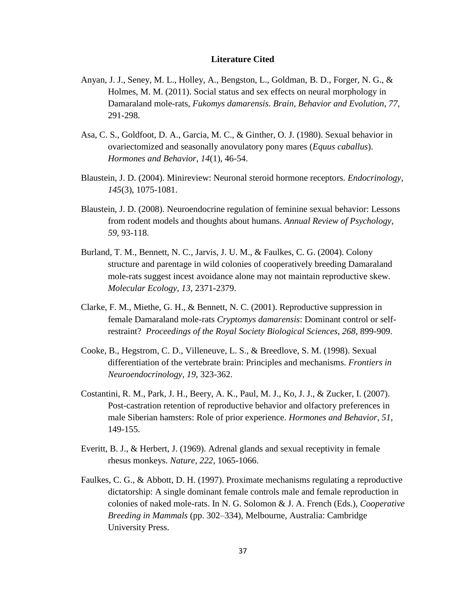#### **Literature Cited**

- Anyan, J. J., Seney, M. L., Holley, A., Bengston, L., Goldman, B. D., Forger, N. G., & Holmes, M. M. (2011). Social status and sex effects on neural morphology in Damaraland mole-rats, *Fukomys damarensis*. *Brain, Behavior and Evolution*, *77*, 291-298.
- Asa, C. S., Goldfoot, D. A., Garcia, M. C., & Ginther, O. J. (1980). Sexual behavior in ovariectomized and seasonally anovulatory pony mares (*Equus caballus*). *Hormones and Behavior*, *14*(1), 46-54.
- Blaustein, J. D. (2004). Minireview: Neuronal steroid hormone receptors. *Endocrinology*, *145*(3), 1075-1081.
- Blaustein, J. D. (2008). Neuroendocrine regulation of feminine sexual behavior: Lessons from rodent models and thoughts about humans. *Annual Review of Psychology*, *59*, 93-118.
- Burland, T. M., Bennett, N. C., Jarvis, J. U. M., & Faulkes, C. G. (2004). Colony structure and parentage in wild colonies of cooperatively breeding Damaraland mole-rats suggest incest avoidance alone may not maintain reproductive skew. *Molecular Ecology*, *13*, 2371-2379.
- Clarke, F. M., Miethe, G. H., & Bennett, N. C. (2001). Reproductive suppression in female Damaraland mole-rats *Cryptomys damarensis*: Dominant control or selfrestraint? *Proceedings of the Royal Society Biological Sciences*, *268*, 899-909.
- Cooke, B., Hegstrom, C. D., Villeneuve, L. S., & Breedlove, S. M. (1998). Sexual differentiation of the vertebrate brain: Principles and mechanisms. *Frontiers in Neuroendocrinology*, *19*, 323-362.
- Costantini, R. M., Park, J. H., Beery, A. K., Paul, M. J., Ko, J. J., & Zucker, I. (2007). Post-castration retention of reproductive behavior and olfactory preferences in male Siberian hamsters: Role of prior experience. *Hormones and Behavior*, *51*, 149-155.
- Everitt, B. J., & Herbert, J. (1969). Adrenal glands and sexual receptivity in female rhesus monkeys. *Nature*, *222*, 1065-1066.
- Faulkes, C. G., & Abbott, D. H. (1997). Proximate mechanisms regulating a reproductive dictatorship: A single dominant female controls male and female reproduction in colonies of naked mole-rats. In N. G. Solomon & J. A. French (Eds.), *Cooperative Breeding in Mammals* (pp. 302–334), Melbourne, Australia: Cambridge University Press.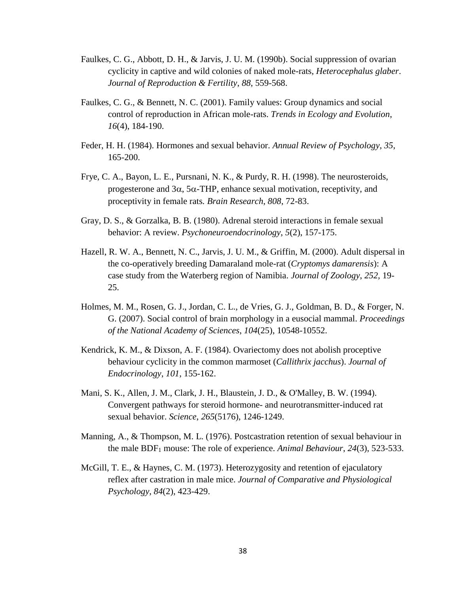- Faulkes, C. G., Abbott, D. H., & Jarvis, J. U. M. (1990b). Social suppression of ovarian cyclicity in captive and wild colonies of naked mole-rats, *Heterocephalus glaber*. *Journal of Reproduction & Fertility*, *88*, 559-568.
- Faulkes, C. G., & Bennett, N. C. (2001). Family values: Group dynamics and social control of reproduction in African mole-rats. *Trends in Ecology and Evolution*, *16*(4), 184-190.
- Feder, H. H. (1984). Hormones and sexual behavior. *Annual Review of Psychology*, *35*, 165-200.
- Frye, C. A., Bayon, L. E., Pursnani, N. K., & Purdy, R. H. (1998). The neurosteroids, progesterone and  $3\alpha$ ,  $5\alpha$ -THP, enhance sexual motivation, receptivity, and proceptivity in female rats*. Brain Research*, *808*, 72-83.
- Gray, D. S., & Gorzalka, B. B. (1980). Adrenal steroid interactions in female sexual behavior: A review. *Psychoneuroendocrinology*, *5*(2), 157-175.
- Hazell, R. W. A., Bennett, N. C., Jarvis, J. U. M., & Griffin, M. (2000). Adult dispersal in the co-operatively breeding Damaraland mole-rat (*Cryptomys damarensis*): A case study from the Waterberg region of Namibia. *Journal of Zoology*, *252*, 19- 25.
- Holmes, M. M., Rosen, G. J., Jordan, C. L., de Vries, G. J., Goldman, B. D., & Forger, N. G. (2007). Social control of brain morphology in a eusocial mammal. *Proceedings of the National Academy of Sciences*, *104*(25), 10548-10552.
- Kendrick, K. M., & Dixson, A. F. (1984). Ovariectomy does not abolish proceptive behaviour cyclicity in the common marmoset (*Callithrix jacchus*). *Journal of Endocrinology*, *101*, 155-162.
- Mani, S. K., Allen, J. M., Clark, J. H., Blaustein, J. D., & O'Malley, B. W. (1994). Convergent pathways for steroid hormone- and neurotransmitter-induced rat sexual behavior. *Science*, *265*(5176), 1246-1249.
- Manning, A., & Thompson, M. L. (1976). Postcastration retention of sexual behaviour in the male BDF<sup>1</sup> mouse: The role of experience. *Animal Behaviour*, *24*(3), 523-533.
- McGill, T. E., & Haynes, C. M. (1973). Heterozygosity and retention of ejaculatory reflex after castration in male mice. *Journal of Comparative and Physiological Psychology*, *84*(2), 423-429.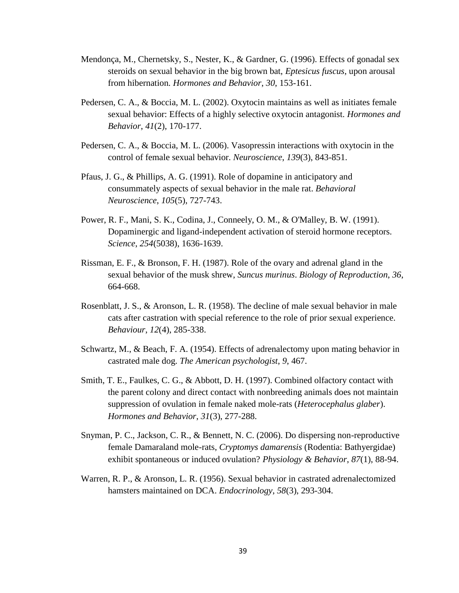- Mendonça, M., Chernetsky, S., Nester, K., & Gardner, G. (1996). Effects of gonadal sex steroids on sexual behavior in the big brown bat, *Eptesicus fuscus*, upon arousal from hibernation*. Hormones and Behavior*, *30*, 153-161.
- Pedersen, C. A., & Boccia, M. L. (2002). Oxytocin maintains as well as initiates female sexual behavior: Effects of a highly selective oxytocin antagonist. *Hormones and Behavior*, *41*(2), 170-177.
- Pedersen, C. A., & Boccia, M. L. (2006). Vasopressin interactions with oxytocin in the control of female sexual behavior. *Neuroscience*, *139*(3), 843-851.
- Pfaus, J. G., & Phillips, A. G. (1991). Role of dopamine in anticipatory and consummately aspects of sexual behavior in the male rat. *Behavioral Neuroscience*, *105*(5), 727-743.
- Power, R. F., Mani, S. K., Codina, J., Conneely, O. M., & O'Malley, B. W. (1991). Dopaminergic and ligand-independent activation of steroid hormone receptors. *Science*, *254*(5038), 1636-1639.
- Rissman, E. F., & Bronson, F. H. (1987). Role of the ovary and adrenal gland in the sexual behavior of the musk shrew, *Suncus murinus*. *Biology of Reproduction*, *36*, 664-668.
- Rosenblatt, J. S., & Aronson, L. R. (1958). The decline of male sexual behavior in male cats after castration with special reference to the role of prior sexual experience. *Behaviour*, *12*(4), 285-338.
- Schwartz, M., & Beach, F. A. (1954). Effects of adrenalectomy upon mating behavior in castrated male dog. *The American psychologist*, *9*, 467.
- Smith, T. E., Faulkes, C. G., & Abbott, D. H. (1997). Combined olfactory contact with the parent colony and direct contact with nonbreeding animals does not maintain suppression of ovulation in female naked mole-rats (*Heterocephalus glaber*). *Hormones and Behavior*, *31*(3), 277-288.
- Snyman, P. C., Jackson, C. R., & Bennett, N. C. (2006). Do dispersing non-reproductive female Damaraland mole-rats, *Cryptomys damarensis* (Rodentia: Bathyergidae) exhibit spontaneous or induced ovulation? *Physiology & Behavior*, *87*(1), 88-94.
- Warren, R. P., & Aronson, L. R. (1956). Sexual behavior in castrated adrenalectomized hamsters maintained on DCA. *Endocrinology*, *58*(3), 293-304.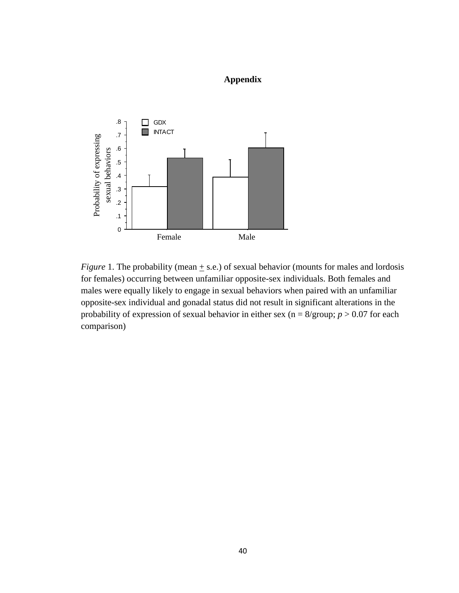### **Appendix**



*Figure* 1. The probability (mean  $\pm$  s.e.) of sexual behavior (mounts for males and lordosis for females) occurring between unfamiliar opposite-sex individuals. Both females and males were equally likely to engage in sexual behaviors when paired with an unfamiliar opposite-sex individual and gonadal status did not result in significant alterations in the probability of expression of sexual behavior in either sex ( $n = 8$ /group;  $p > 0.07$  for each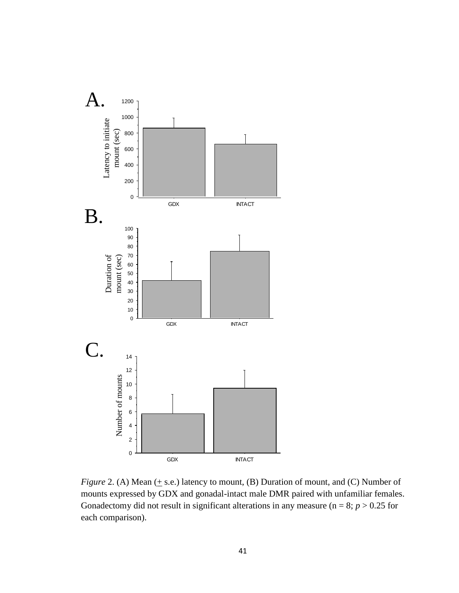

*Figure* 2. (A) Mean  $(+$  s.e.) latency to mount, (B) Duration of mount, and (C) Number of mounts expressed by GDX and gonadal-intact male DMR paired with unfamiliar females. Gonadectomy did not result in significant alterations in any measure ( $n = 8$ ;  $p > 0.25$  for each comparison).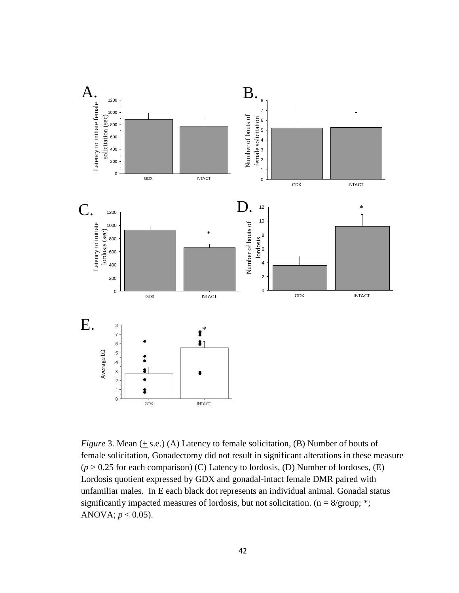

*Figure* 3. Mean (+ s.e.) (A) Latency to female solicitation, (B) Number of bouts of female solicitation, Gonadectomy did not result in significant alterations in these measure  $(p > 0.25$  for each comparison) (C) Latency to lordosis, (D) Number of lordoses, (E) Lordosis quotient expressed by GDX and gonadal-intact female DMR paired with unfamiliar males. In E each black dot represents an individual animal. Gonadal status significantly impacted measures of lordosis, but not solicitation. (n = 8/group; \*; ANOVA;  $p < 0.05$ ).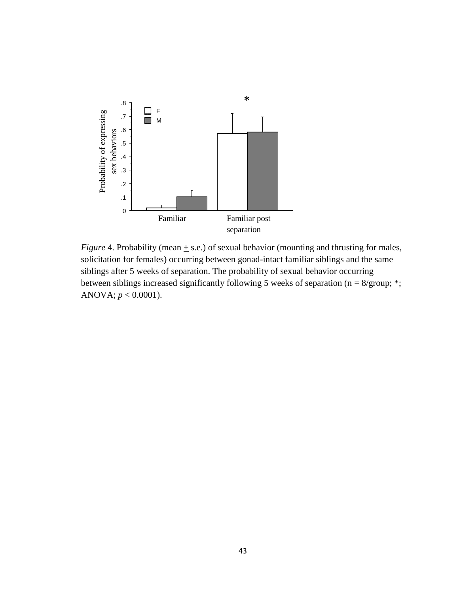

lia<br>un<br>epa iar<br>atic<br>peh<br>abi<br>wir *Figure* 4. Probability (mean + s.e.) of sexual behavior (mounting and thrusting for males, solicitation for females) occurring between gonad-intact familiar siblings and the same siblings after 5 weeks of separation. The probability of sexual behavior occurring between siblings increased significantly following 5 weeks of separation (n = 8/group; \*; ANOVA;  $p < 0.0001$ ).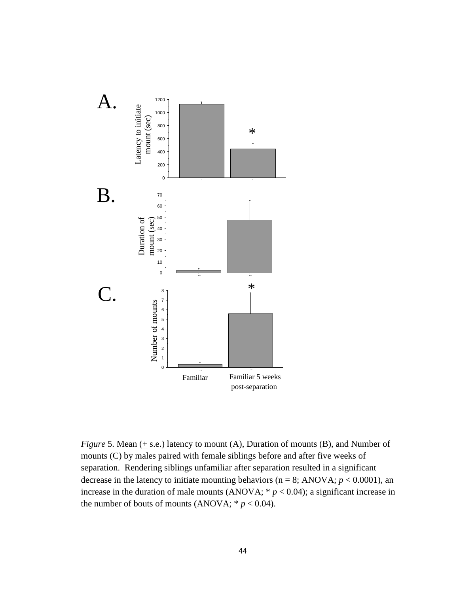

*Figure* 5. Mean  $(+$  s.e.) latency to mount  $(A)$ , Duration of mounts  $(B)$ , and Number of mounts (C) by males paired with female siblings before and after five weeks of separation. Rendering siblings unfamiliar after separation resulted in a significant decrease in the latency to initiate mounting behaviors ( $n = 8$ ; ANOVA;  $p < 0.0001$ ), an increase in the duration of male mounts (ANOVA;  $* p < 0.04$ ); a significant increase in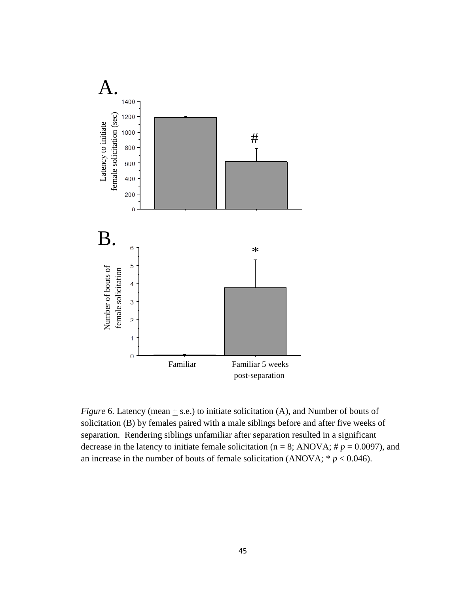

*Figure* 6. Latency (mean  $\pm$  s.e.) to initiate solicitation (A), and Number of bouts of solicitation (B) by females paired with a male siblings before and after five weeks of separation. Rendering siblings unfamiliar after separation resulted in a significant decrease in the latency to initiate female solicitation ( $n = 8$ ; ANOVA;  $\# p = 0.0097$ ), and an increase in the number of bouts of female solicitation (ANOVA;  $* p < 0.046$ ).